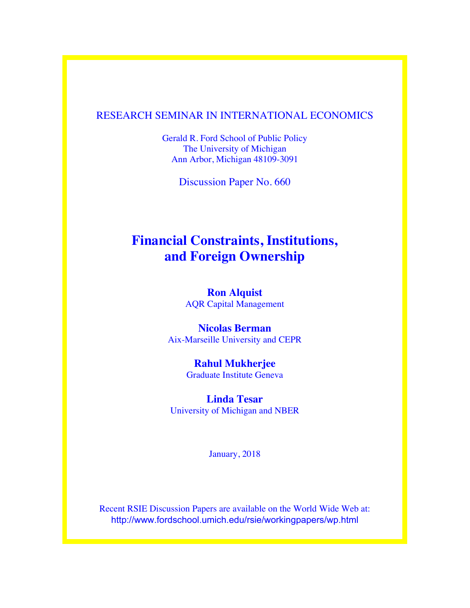# RESEARCH SEMINAR IN INTERNATIONAL ECONOMICS

Gerald R. Ford School of Public Policy The University of Michigan Ann Arbor, Michigan 48109-3091

Discussion Paper No. 660

# **Financial Constraints, Institutions, and Foreign Ownership**

**Ron Alquist** AQR Capital Management

**Nicolas Berman** Aix-Marseille University and CEPR

> **Rahul Mukherjee** Graduate Institute Geneva

**Linda Tesar** University of Michigan and NBER

January, 2018

Recent RSIE Discussion Papers are available on the World Wide Web at: http://www.fordschool.umich.edu/rsie/workingpapers/wp.html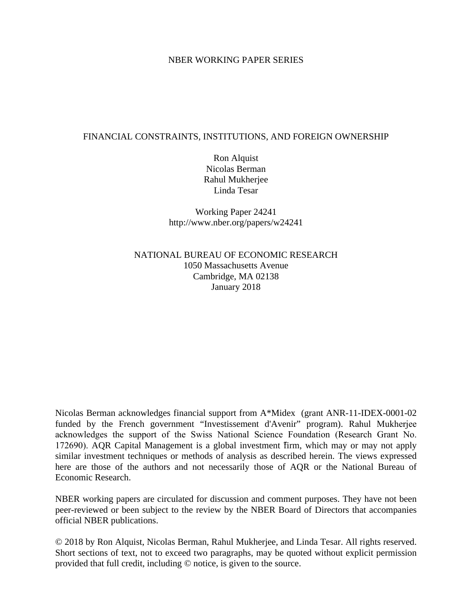### NBER WORKING PAPER SERIES

### FINANCIAL CONSTRAINTS, INSTITUTIONS, AND FOREIGN OWNERSHIP

Ron Alquist Nicolas Berman Rahul Mukherjee Linda Tesar

Working Paper 24241 http://www.nber.org/papers/w24241

NATIONAL BUREAU OF ECONOMIC RESEARCH 1050 Massachusetts Avenue Cambridge, MA 02138 January 2018

Nicolas Berman acknowledges financial support from A\*Midex (grant ANR-11-IDEX-0001-02 funded by the French government "Investissement d'Avenir" program). Rahul Mukherjee acknowledges the support of the Swiss National Science Foundation (Research Grant No. 172690). AQR Capital Management is a global investment firm, which may or may not apply similar investment techniques or methods of analysis as described herein. The views expressed here are those of the authors and not necessarily those of AQR or the National Bureau of Economic Research.

NBER working papers are circulated for discussion and comment purposes. They have not been peer-reviewed or been subject to the review by the NBER Board of Directors that accompanies official NBER publications.

© 2018 by Ron Alquist, Nicolas Berman, Rahul Mukherjee, and Linda Tesar. All rights reserved. Short sections of text, not to exceed two paragraphs, may be quoted without explicit permission provided that full credit, including © notice, is given to the source.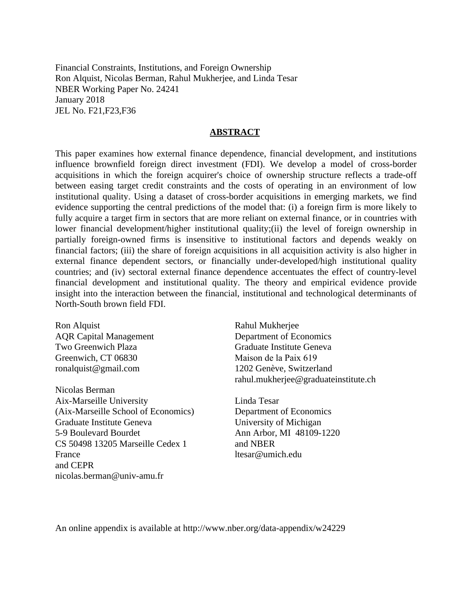Financial Constraints, Institutions, and Foreign Ownership Ron Alquist, Nicolas Berman, Rahul Mukherjee, and Linda Tesar NBER Working Paper No. 24241 January 2018 JEL No. F21,F23,F36

### **ABSTRACT**

This paper examines how external finance dependence, financial development, and institutions influence brownfield foreign direct investment (FDI). We develop a model of cross-border acquisitions in which the foreign acquirer's choice of ownership structure reflects a trade-off between easing target credit constraints and the costs of operating in an environment of low institutional quality. Using a dataset of cross-border acquisitions in emerging markets, we find evidence supporting the central predictions of the model that: (i) a foreign firm is more likely to fully acquire a target firm in sectors that are more reliant on external finance, or in countries with lower financial development/higher institutional quality;(ii) the level of foreign ownership in partially foreign-owned firms is insensitive to institutional factors and depends weakly on financial factors; (iii) the share of foreign acquisitions in all acquisition activity is also higher in external finance dependent sectors, or financially under-developed/high institutional quality countries; and (iv) sectoral external finance dependence accentuates the effect of country-level financial development and institutional quality. The theory and empirical evidence provide insight into the interaction between the financial, institutional and technological determinants of North-South brown field FDI.

Ron Alquist AQR Capital Management Two Greenwich Plaza Greenwich, CT 06830 ronalquist@gmail.com

Nicolas Berman Aix-Marseille University (Aix-Marseille School of Economics) Graduate Institute Geneva 5-9 Boulevard Bourdet CS 50498 13205 Marseille Cedex 1 France and CEPR nicolas.berman@univ-amu.fr

Rahul Mukherjee Department of Economics Graduate Institute Geneva Maison de la Paix 619 1202 Genève, Switzerland rahul.mukherjee@graduateinstitute.ch

Linda Tesar Department of Economics University of Michigan Ann Arbor, MI 48109-1220 and NBER ltesar@umich.edu

An online appendix is available at http://www.nber.org/data-appendix/w24229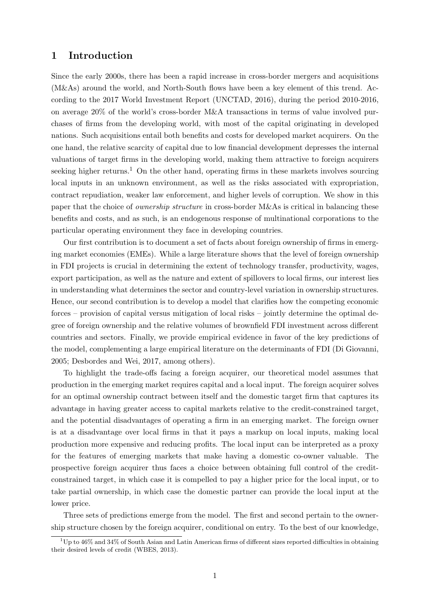### 1 Introduction

Since the early 2000s, there has been a rapid increase in cross-border mergers and acquisitions (M&As) around the world, and North-South flows have been a key element of this trend. According to the 2017 World Investment Report [\(UNCTAD, 2016\)](#page-40-0), during the period 2010-2016, on average 20% of the world's cross-border M&A transactions in terms of value involved purchases of firms from the developing world, with most of the capital originating in developed nations. Such acquisitions entail both benefits and costs for developed market acquirers. On the one hand, the relative scarcity of capital due to low financial development depresses the internal valuations of target firms in the developing world, making them attractive to foreign acquirers seeking higher returns.<sup>[1](#page-3-0)</sup> On the other hand, operating firms in these markets involves sourcing local inputs in an unknown environment, as well as the risks associated with expropriation, contract repudiation, weaker law enforcement, and higher levels of corruption. We show in this paper that the choice of *ownership structure* in cross-border M&As is critical in balancing these benefits and costs, and as such, is an endogenous response of multinational corporations to the particular operating environment they face in developing countries.

Our first contribution is to document a set of facts about foreign ownership of firms in emerging market economies (EMEs). While a large literature shows that the level of foreign ownership in FDI projects is crucial in determining the extent of technology transfer, productivity, wages, export participation, as well as the nature and extent of spillovers to local firms, our interest lies in understanding what determines the sector and country-level variation in ownership structures. Hence, our second contribution is to develop a model that clarifies how the competing economic forces – provision of capital versus mitigation of local risks – jointly determine the optimal degree of foreign ownership and the relative volumes of brownfield FDI investment across different countries and sectors. Finally, we provide empirical evidence in favor of the key predictions of the model, complementing a large empirical literature on the determinants of FDI [\(Di Giovanni,](#page-39-0) [2005;](#page-39-0) [Desbordes and Wei, 2017,](#page-39-1) among others).

To highlight the trade-offs facing a foreign acquirer, our theoretical model assumes that production in the emerging market requires capital and a local input. The foreign acquirer solves for an optimal ownership contract between itself and the domestic target firm that captures its advantage in having greater access to capital markets relative to the credit-constrained target, and the potential disadvantages of operating a firm in an emerging market. The foreign owner is at a disadvantage over local firms in that it pays a markup on local inputs, making local production more expensive and reducing profits. The local input can be interpreted as a proxy for the features of emerging markets that make having a domestic co-owner valuable. The prospective foreign acquirer thus faces a choice between obtaining full control of the creditconstrained target, in which case it is compelled to pay a higher price for the local input, or to take partial ownership, in which case the domestic partner can provide the local input at the lower price.

Three sets of predictions emerge from the model. The first and second pertain to the ownership structure chosen by the foreign acquirer, conditional on entry. To the best of our knowledge,

<span id="page-3-0"></span> $1<sup>1</sup>$ Up to 46% and 34% of South Asian and Latin American firms of different sizes reported difficulties in obtaining their desired levels of credit [\(WBES, 2013\)](#page-40-1).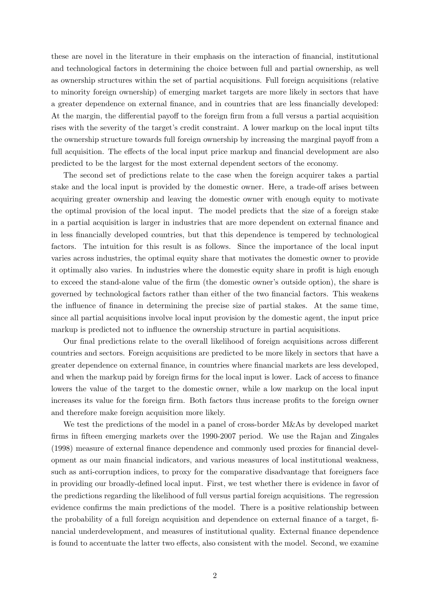these are novel in the literature in their emphasis on the interaction of financial, institutional and technological factors in determining the choice between full and partial ownership, as well as ownership structures within the set of partial acquisitions. Full foreign acquisitions (relative to minority foreign ownership) of emerging market targets are more likely in sectors that have a greater dependence on external finance, and in countries that are less financially developed: At the margin, the differential payoff to the foreign firm from a full versus a partial acquisition rises with the severity of the target's credit constraint. A lower markup on the local input tilts the ownership structure towards full foreign ownership by increasing the marginal payoff from a full acquisition. The effects of the local input price markup and financial development are also predicted to be the largest for the most external dependent sectors of the economy.

The second set of predictions relate to the case when the foreign acquirer takes a partial stake and the local input is provided by the domestic owner. Here, a trade-off arises between acquiring greater ownership and leaving the domestic owner with enough equity to motivate the optimal provision of the local input. The model predicts that the size of a foreign stake in a partial acquisition is larger in industries that are more dependent on external finance and in less financially developed countries, but that this dependence is tempered by technological factors. The intuition for this result is as follows. Since the importance of the local input varies across industries, the optimal equity share that motivates the domestic owner to provide it optimally also varies. In industries where the domestic equity share in profit is high enough to exceed the stand-alone value of the firm (the domestic owner's outside option), the share is governed by technological factors rather than either of the two financial factors. This weakens the influence of finance in determining the precise size of partial stakes. At the same time, since all partial acquisitions involve local input provision by the domestic agent, the input price markup is predicted not to influence the ownership structure in partial acquisitions.

Our final predictions relate to the overall likelihood of foreign acquisitions across different countries and sectors. Foreign acquisitions are predicted to be more likely in sectors that have a greater dependence on external finance, in countries where financial markets are less developed, and when the markup paid by foreign firms for the local input is lower. Lack of access to finance lowers the value of the target to the domestic owner, while a low markup on the local input increases its value for the foreign firm. Both factors thus increase profits to the foreign owner and therefore make foreign acquisition more likely.

We test the predictions of the model in a panel of cross-border M&As by developed market firms in fifteen emerging markets over the 1990-2007 period. We use the [Rajan and Zingales](#page-40-2) [\(1998\)](#page-40-2) measure of external finance dependence and commonly used proxies for financial development as our main financial indicators, and various measures of local institutional weakness, such as anti-corruption indices, to proxy for the comparative disadvantage that foreigners face in providing our broadly-defined local input. First, we test whether there is evidence in favor of the predictions regarding the likelihood of full versus partial foreign acquisitions. The regression evidence confirms the main predictions of the model. There is a positive relationship between the probability of a full foreign acquisition and dependence on external finance of a target, financial underdevelopment, and measures of institutional quality. External finance dependence is found to accentuate the latter two effects, also consistent with the model. Second, we examine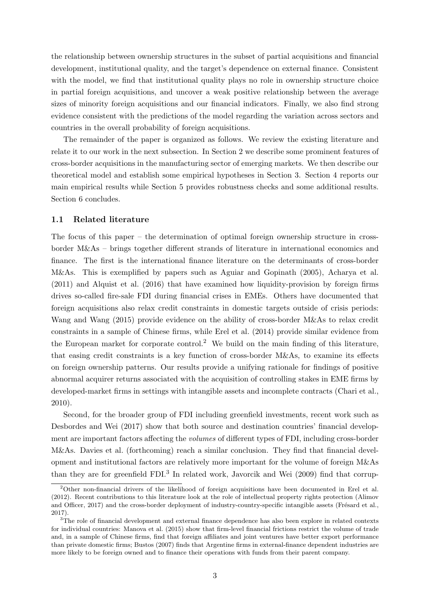the relationship between ownership structures in the subset of partial acquisitions and financial development, institutional quality, and the target's dependence on external finance. Consistent with the model, we find that institutional quality plays no role in ownership structure choice in partial foreign acquisitions, and uncover a weak positive relationship between the average sizes of minority foreign acquisitions and our financial indicators. Finally, we also find strong evidence consistent with the predictions of the model regarding the variation across sectors and countries in the overall probability of foreign acquisitions.

The remainder of the paper is organized as follows. We review the existing literature and relate it to our work in the next subsection. In Section [2](#page-7-0) we describe some prominent features of cross-border acquisitions in the manufacturing sector of emerging markets. We then describe our theoretical model and establish some empirical hypotheses in Section [3.](#page-11-0) Section [4](#page-21-0) reports our main empirical results while Section [5](#page-30-0) provides robustness checks and some additional results. Section [6](#page-35-0) concludes.

### 1.1 Related literature

The focus of this paper – the determination of optimal foreign ownership structure in crossborder M&As – brings together different strands of literature in international economics and finance. The first is the international finance literature on the determinants of cross-border M&As. This is exemplified by papers such as [Aguiar and Gopinath \(2005\)](#page-37-0), [Acharya et al.](#page-37-1) [\(2011\)](#page-37-1) and [Alquist et al. \(2016\)](#page-37-2) that have examined how liquidity-provision by foreign firms drives so-called fire-sale FDI during financial crises in EMEs. Others have documented that foreign acquisitions also relax credit constraints in domestic targets outside of crisis periods: [Wang and Wang \(2015\)](#page-40-3) provide evidence on the ability of cross-border M&As to relax credit constraints in a sample of Chinese firms, while [Erel et al. \(2014\)](#page-39-2) provide similar evidence from the European market for corporate control.<sup>[2](#page-5-0)</sup> We build on the main finding of this literature, that easing credit constraints is a key function of cross-border M&As, to examine its effects on foreign ownership patterns. Our results provide a unifying rationale for findings of positive abnormal acquirer returns associated with the acquisition of controlling stakes in EME firms by developed-market firms in settings with intangible assets and incomplete contracts [\(Chari et al.,](#page-38-0) [2010\)](#page-38-0).

Second, for the broader group of FDI including greenfield investments, recent work such as [Desbordes and Wei \(2017\)](#page-39-1) show that both source and destination countries' financial development are important factors affecting the volumes of different types of FDI, including cross-border M&As. [Davies et al. \(forthcoming\)](#page-38-1) reach a similar conclusion. They find that financial development and institutional factors are relatively more important for the volume of foreign M&As than they are for greenfield FDI.<sup>[3](#page-5-1)</sup> In related work, [Javorcik and Wei \(2009\)](#page-39-3) find that corrup-

<span id="page-5-0"></span><sup>2</sup>Other non-financial drivers of the likelihood of foreign acquisitions have been documented in [Erel et al.](#page-39-4) [\(2012\)](#page-39-4). Recent contributions to this literature look at the role of intellectual property rights protection [\(Alimov](#page-37-3) [and Officer, 2017\)](#page-37-3) and the cross-border deployment of industry-country-specific intangible assets (Frésard et al., [2017\)](#page-39-5).

<span id="page-5-1"></span><sup>&</sup>lt;sup>3</sup>The role of financial development and external finance dependence has also been explore in related contexts for individual countries: [Manova et al. \(2015\)](#page-40-4) show that firm-level financial frictions restrict the volume of trade and, in a sample of Chinese firms, find that foreign affiliates and joint ventures have better export performance than private domestic firms; [Bustos \(2007\)](#page-38-2) finds that Argentine firms in external-finance dependent industries are more likely to be foreign owned and to finance their operations with funds from their parent company.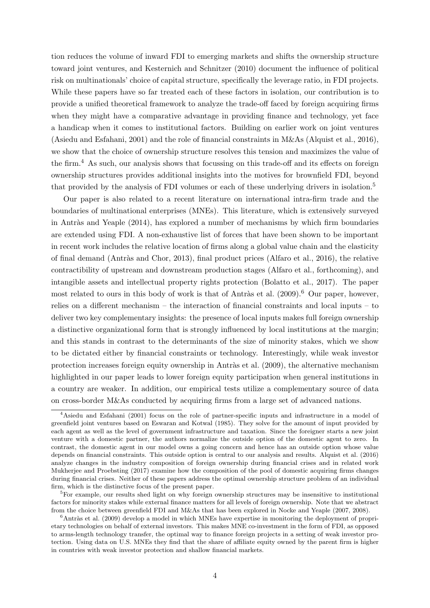tion reduces the volume of inward FDI to emerging markets and shifts the ownership structure toward joint ventures, and [Kesternich and Schnitzer \(2010\)](#page-39-6) document the influence of political risk on multinationals' choice of capital structure, specifically the leverage ratio, in FDI projects. While these papers have so far treated each of these factors in isolation, our contribution is to provide a unified theoretical framework to analyze the trade-off faced by foreign acquiring firms when they might have a comparative advantage in providing finance and technology, yet face a handicap when it comes to institutional factors. Building on earlier work on joint ventures [\(Asiedu and Esfahani, 2001\)](#page-38-3) and the role of financial constraints in M&As [\(Alquist et al., 2016\)](#page-37-2), we show that the choice of ownership structure resolves this tension and maximizes the value of the firm.<sup>[4](#page-6-0)</sup> As such, our analysis shows that focussing on this trade-off and its effects on foreign ownership structures provides additional insights into the motives for brownfield FDI, beyond that provided by the analysis of FDI volumes or each of these underlying drivers in isolation.<sup>[5](#page-6-1)</sup>

Our paper is also related to a recent literature on international intra-firm trade and the boundaries of multinational enterprises (MNEs). This literature, which is extensively surveyed in Antràs and Yeaple  $(2014)$ , has explored a number of mechanisms by which firm boundaries are extended using FDI. A non-exhaustive list of forces that have been shown to be important in recent work includes the relative location of firms along a global value chain and the elasticity of final demand (Antràs and Chor, 2013), final product prices [\(Alfaro et al., 2016\)](#page-37-6), the relative contractibility of upstream and downstream production stages [\(Alfaro et al., forthcoming\)](#page-37-7), and intangible assets and intellectual property rights protection [\(Bolatto et al., 2017\)](#page-38-4). The paper most related to ours in this body of work is that of Antràs et al.  $(2009)^{6}$  $(2009)^{6}$  $(2009)^{6}$  Our paper, however, relies on a different mechanism – the interaction of financial constraints and local inputs – to deliver two key complementary insights: the presence of local inputs makes full foreign ownership a distinctive organizational form that is strongly influenced by local institutions at the margin; and this stands in contrast to the determinants of the size of minority stakes, which we show to be dictated either by financial constraints or technology. Interestingly, while weak investor protection increases foreign equity ownership in Antràs et al.  $(2009)$ , the alternative mechanism highlighted in our paper leads to lower foreign equity participation when general institutions in a country are weaker. In addition, our empirical tests utilize a complementary source of data on cross-border M&As conducted by acquiring firms from a large set of advanced nations.

<span id="page-6-0"></span><sup>4</sup>[Asiedu and Esfahani \(2001\)](#page-38-3) focus on the role of partner-specific inputs and infrastructure in a model of greenfield joint ventures based on [Eswaran and Kotwal \(1985\)](#page-39-7). They solve for the amount of input provided by each agent as well as the level of government infrastructure and taxation. Since the foreigner starts a new joint venture with a domestic partner, the authors normalize the outside option of the domestic agent to zero. In contrast, the domestic agent in our model owns a going concern and hence has an outside option whose value depends on financial constraints. This outside option is central to our analysis and results. [Alquist et al. \(2016\)](#page-37-2) analyze changes in the industry composition of foreign ownership during financial crises and in related work [Mukherjee and Proebsting \(2017\)](#page-40-5) examine how the composition of the pool of domestic acquiring firms changes during financial crises. Neither of these papers address the optimal ownership structure problem of an individual firm, which is the distinctive focus of the present paper.

<span id="page-6-1"></span> ${}^{5}$ For example, our results shed light on why foreign ownership structures may be insensitive to institutional factors for minority stakes while external finance matters for all levels of foreign ownership. Note that we abstract from the choice between greenfield FDI and M&As that has been explored in [Nocke and Yeaple \(2007,](#page-40-6) [2008\)](#page-40-7).

<span id="page-6-2"></span> $6$ Antràs et al. (2009) develop a model in which MNEs have expertise in monitoring the deployment of proprietary technologies on behalf of external investors. This makes MNE co-investment in the form of FDI, as opposed to arms-length technology transfer, the optimal way to finance foreign projects in a setting of weak investor protection. Using data on U.S. MNEs they find that the share of affiliate equity owned by the parent firm is higher in countries with weak investor protection and shallow financial markets.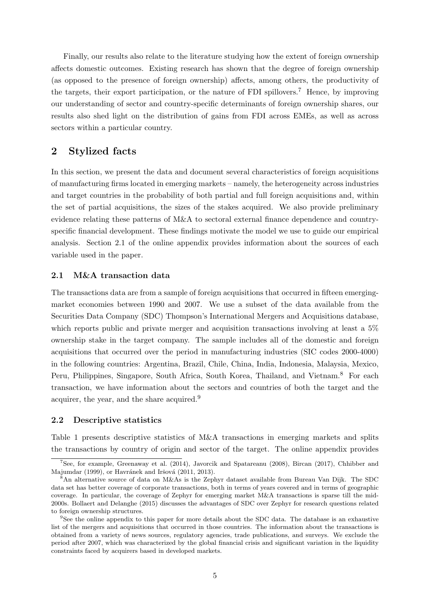Finally, our results also relate to the literature studying how the extent of foreign ownership affects domestic outcomes. Existing research has shown that the degree of foreign ownership (as opposed to the presence of foreign ownership) affects, among others, the productivity of the targets, their export participation, or the nature of FDI spillovers.<sup>[7](#page-7-1)</sup> Hence, by improving our understanding of sector and country-specific determinants of foreign ownership shares, our results also shed light on the distribution of gains from FDI across EMEs, as well as across sectors within a particular country.

# <span id="page-7-0"></span>2 Stylized facts

In this section, we present the data and document several characteristics of foreign acquisitions of manufacturing firms located in emerging markets – namely, the heterogeneity across industries and target countries in the probability of both partial and full foreign acquisitions and, within the set of partial acquisitions, the sizes of the stakes acquired. We also provide preliminary evidence relating these patterns of M&A to sectoral external finance dependence and countryspecific financial development. These findings motivate the model we use to guide our empirical analysis. Section [2.1](#page-7-2) of the online appendix provides information about the sources of each variable used in the paper.

### <span id="page-7-2"></span>2.1 M&A transaction data

The transactions data are from a sample of foreign acquisitions that occurred in fifteen emergingmarket economies between 1990 and 2007. We use a subset of the data available from the Securities Data Company (SDC) Thompson's International Mergers and Acquisitions database, which reports public and private merger and acquisition transactions involving at least a  $5\%$ ownership stake in the target company. The sample includes all of the domestic and foreign acquisitions that occurred over the period in manufacturing industries (SIC codes 2000-4000) in the following countries: Argentina, Brazil, Chile, China, India, Indonesia, Malaysia, Mexico, Peru, Philippines, Singapore, South Africa, South Korea, Thailand, and Vietnam.<sup>[8](#page-7-3)</sup> For each transaction, we have information about the sectors and countries of both the target and the acquirer, the year, and the share acquired.[9](#page-7-4)

### 2.2 Descriptive statistics

Table [1](#page-9-0) presents descriptive statistics of M&A transactions in emerging markets and splits the transactions by country of origin and sector of the target. The online appendix provides

<span id="page-7-1"></span><sup>7</sup>See, for example, [Greenaway et al. \(2014\)](#page-39-8), [Javorcik and Spatareanu \(2008\)](#page-39-9), [Bircan \(2017\)](#page-38-6), [Chhibber and](#page-38-7) [Majumdar \(1999\)](#page-38-7), or Havránek and Iršová (2011, [2013\)](#page-39-11).

<span id="page-7-3"></span><sup>8</sup>An alternative source of data on M&As is the Zephyr dataset available from Bureau Van Dijk. The SDC data set has better coverage of corporate transactions, both in terms of years covered and in terms of geographic coverage. In particular, the coverage of Zephyr for emerging market M&A transactions is sparse till the mid-2000s. [Bollaert and Delanghe \(2015\)](#page-38-8) discusses the advantages of SDC over Zephyr for research questions related to foreign ownership structures.

<span id="page-7-4"></span><sup>9</sup>See the online appendix to this paper for more details about the SDC data. The database is an exhaustive list of the mergers and acquisitions that occurred in those countries. The information about the transactions is obtained from a variety of news sources, regulatory agencies, trade publications, and surveys. We exclude the period after 2007, which was characterized by the global financial crisis and significant variation in the liquidity constraints faced by acquirers based in developed markets.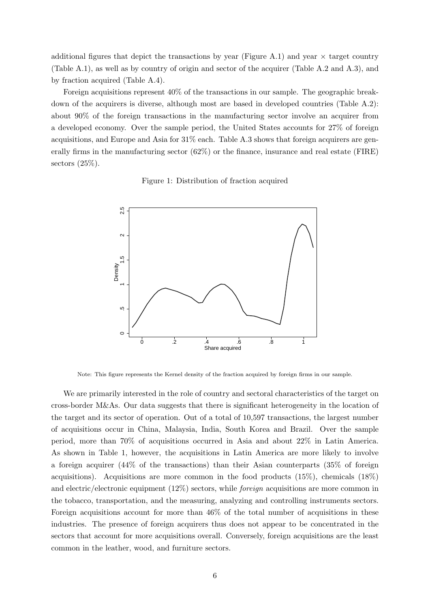additional figures that depict the transactions by year (Figure A.1) and year  $\times$  target country (Table A.1), as well as by country of origin and sector of the acquirer (Table A.2 and A.3), and by fraction acquired (Table A.4).

Foreign acquisitions represent 40% of the transactions in our sample. The geographic breakdown of the acquirers is diverse, although most are based in developed countries (Table A.2): about 90% of the foreign transactions in the manufacturing sector involve an acquirer from a developed economy. Over the sample period, the United States accounts for 27% of foreign acquisitions, and Europe and Asia for 31% each. Table A.3 shows that foreign acquirers are generally firms in the manufacturing sector (62%) or the finance, insurance and real estate (FIRE) sectors  $(25\%)$ .

Figure 1: Distribution of fraction acquired

<span id="page-8-0"></span>

Note: This figure represents the Kernel density of the fraction acquired by foreign firms in our sample.

We are primarily interested in the role of country and sectoral characteristics of the target on cross-border M&As. Our data suggests that there is significant heterogeneity in the location of the target and its sector of operation. Out of a total of 10,597 transactions, the largest number of acquisitions occur in China, Malaysia, India, South Korea and Brazil. Over the sample period, more than 70% of acquisitions occurred in Asia and about 22% in Latin America. As shown in Table [1,](#page-9-0) however, the acquisitions in Latin America are more likely to involve a foreign acquirer (44% of the transactions) than their Asian counterparts (35% of foreign acquisitions). Acquisitions are more common in the food products (15%), chemicals (18%) and electric/electronic equipment  $(12\%)$  sectors, while *foreign* acquisitions are more common in the tobacco, transportation, and the measuring, analyzing and controlling instruments sectors. Foreign acquisitions account for more than 46% of the total number of acquisitions in these industries. The presence of foreign acquirers thus does not appear to be concentrated in the sectors that account for more acquisitions overall. Conversely, foreign acquisitions are the least common in the leather, wood, and furniture sectors.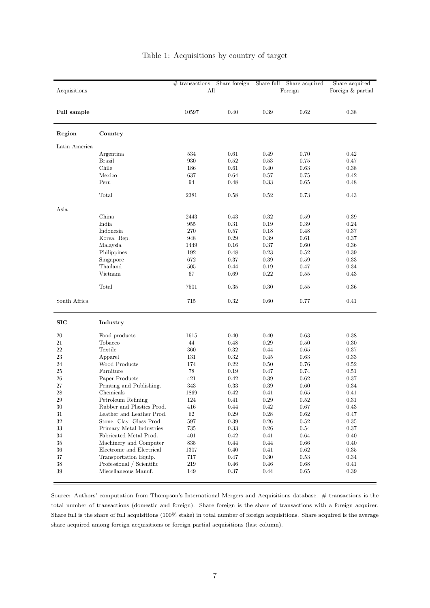<span id="page-9-0"></span>

|               |                                                     | $#$ transactions | Share foreign | Share full       | Share acquired | Share acquired    |  |
|---------------|-----------------------------------------------------|------------------|---------------|------------------|----------------|-------------------|--|
| Acquisitions  |                                                     | All              |               |                  | Foreign        | Foreign & partial |  |
| Full sample   |                                                     | 10597            | 0.40          | 0.39             | 0.62           | 0.38              |  |
| Region        | Country                                             |                  |               |                  |                |                   |  |
| Latin America |                                                     |                  |               |                  |                |                   |  |
|               | Argentina                                           | 534              | 0.61          | 0.49             | 0.70           | $0.42\,$          |  |
|               | <b>Brazil</b>                                       | 930              | 0.52          | 0.53             | 0.75           | 0.47              |  |
|               | Chile                                               | 186              | 0.61          | 0.40             | 0.63           | 0.38              |  |
|               | Mexico                                              | 637              | 0.64          | $0.57\,$         | 0.75           | 0.42              |  |
|               | Peru                                                | 94               | 0.48          | 0.33             | 0.65           | 0.48              |  |
|               | Total                                               | 2381             | 0.58          | 0.52             | 0.73           | 0.43              |  |
| Asia          |                                                     |                  |               |                  |                |                   |  |
|               | China                                               | 2443             | 0.43          | 0.32             | 0.59           | 0.39              |  |
|               | India                                               | 955              | $\rm 0.31$    | 0.19             | $0.39\,$       | 0.24              |  |
|               | Indonesia                                           | 270              | 0.57          | 0.18             | 0.48           | 0.37              |  |
|               | Korea. Rep.                                         | 948              | 0.29          | $0.39\,$         | 0.61           | 0.37              |  |
|               | Malaysia                                            | 1449             | 0.16          | 0.37             | 0.60           | 0.36              |  |
|               | Philippines                                         | 192              | 0.48          | 0.23             | $\rm 0.52$     | $0.39\,$          |  |
|               | Singapore                                           | 672              | 0.37          | $0.39\,$         | 0.59           | 0.33              |  |
|               | Thailand                                            | $505\,$          | 0.44          | 0.19             | 0.47           | 0.34              |  |
|               | Vietnam                                             | 67               | 0.69          | 0.22             | 0.55           | 0.43              |  |
|               | Total                                               | 7501             | 0.35          | 0.30             | 0.55           | $0.36\,$          |  |
| South Africa  |                                                     | 715              | 0.32          | 0.60             | 0.77           | 0.41              |  |
| SIC           | Industry                                            |                  |               |                  |                |                   |  |
| 20            | Food products                                       | 1615             | 0.40          | 0.40             | 0.63           | $0.38\,$          |  |
| 21            | Tobacco                                             | 44               | 0.48          | 0.29             | 0.50           | 0.30              |  |
| 22            | Textile                                             | 360              | 0.32          | 0.44             | 0.65           | 0.37              |  |
| 23            | Apparel                                             | 131              | 0.32          | 0.45             | 0.63           | 0.33              |  |
| 24            | Wood Products                                       | 174              | 0.22          | 0.50             | 0.76           | $0.52\,$          |  |
| 25            | Furniture                                           | $78\,$           | 0.19          | 0.47             | 0.74           | 0.51              |  |
| 26            | Paper Products                                      | 421              | 0.42          | 0.39             | 0.62           | 0.37              |  |
| $27\,$        | Printing and Publishing.                            | 343              | 0.33          | 0.39             | 0.60           | 0.34              |  |
| $\sqrt{28}$   | Chemicals                                           | 1869             | 0.42          | 0.41             | 0.65           | 0.41              |  |
| $\,29$        | Petroleum Refining                                  | $124\,$          | $0.41\,$      | $0.29\,$         | $\rm 0.52$     | $\rm 0.31$        |  |
| $30\,$        | Rubber and Plastics Prod.                           | 416              | 0.44          | 0.42             | 0.67           | 0.43              |  |
| 31            | Leather and Leather Prod.                           | 62               | $0.29\,$      | 0.28             | 0.62           | 0.47              |  |
| 32            | Stone. Clay. Glass Prod.                            | 597              | $0.39\,$      | $0.26\,$         | 0.52           | 0.35              |  |
| $33\,$        | Primary Metal Industries                            | 735              | 0.33          | $0.26\,$         | $0.54\,$       | 0.37              |  |
| $34\,$        | Fabricated Metal Prod.                              | 401              | 0.42          | 0.41             | 0.64           | 0.40              |  |
| 35            | Machinery and Computer<br>Electronic and Electrical | 835              | 0.44          | 0.44             | 0.66           | 0.40              |  |
| 36<br>37      | Transportation Equip.                               | 1307<br>717      | 0.40<br>0.47  | 0.41<br>$0.30\,$ | 0.62<br>0.53   | 0.35<br>0.34      |  |
| $38\,$        | Professional / Scientific                           | 219              | $0.46\,$      | $0.46\,$         | $0.68\,$       | 0.41              |  |
| 39            | Miscellaneous Manuf.                                | 149              | 0.37          | 0.44             | $0.65\,$       | 0.39              |  |
|               |                                                     |                  |               |                  |                |                   |  |

### Table 1: Acquisitions by country of target

Source: Authors' computation from Thompson's International Mergers and Acquisitions database. # transactions is the total number of transactions (domestic and foreign). Share foreign is the share of transactions with a foreign acquirer. Share full is the share of full acquisitions (100% stake) in total number of foreign acquisitions. Share acquired is the average share acquired among foreign acquisitions or foreign partial acquisitions (last column).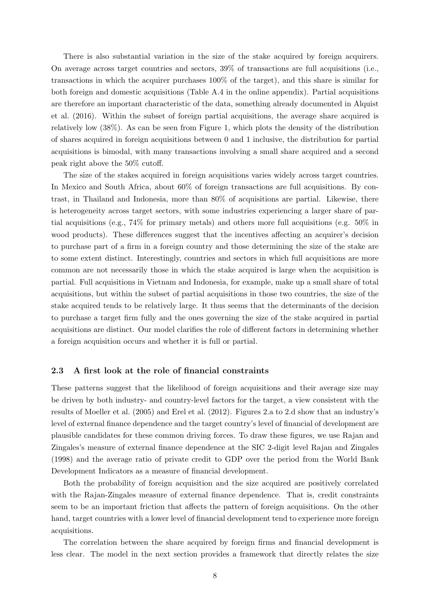There is also substantial variation in the size of the stake acquired by foreign acquirers. On average across target countries and sectors, 39% of transactions are full acquisitions (i.e., transactions in which the acquirer purchases 100% of the target), and this share is similar for both foreign and domestic acquisitions (Table A.4 in the online appendix). Partial acquisitions are therefore an important characteristic of the data, something already documented in [Alquist](#page-37-2) [et al. \(2016\)](#page-37-2). Within the subset of foreign partial acquisitions, the average share acquired is relatively low (38%). As can be seen from Figure [1,](#page-8-0) which plots the density of the distribution of shares acquired in foreign acquisitions between 0 and 1 inclusive, the distribution for partial acquisitions is bimodal, with many transactions involving a small share acquired and a second peak right above the 50% cutoff.

The size of the stakes acquired in foreign acquisitions varies widely across target countries. In Mexico and South Africa, about 60% of foreign transactions are full acquisitions. By contrast, in Thailand and Indonesia, more than 80% of acquisitions are partial. Likewise, there is heterogeneity across target sectors, with some industries experiencing a larger share of partial acquisitions (e.g., 74% for primary metals) and others more full acquisitions (e.g. 50% in wood products). These differences suggest that the incentives affecting an acquirer's decision to purchase part of a firm in a foreign country and those determining the size of the stake are to some extent distinct. Interestingly, countries and sectors in which full acquisitions are more common are not necessarily those in which the stake acquired is large when the acquisition is partial. Full acquisitions in Vietnam and Indonesia, for example, make up a small share of total acquisitions, but within the subset of partial acquisitions in those two countries, the size of the stake acquired tends to be relatively large. It thus seems that the determinants of the decision to purchase a target firm fully and the ones governing the size of the stake acquired in partial acquisitions are distinct. Our model clarifies the role of different factors in determining whether a foreign acquisition occurs and whether it is full or partial.

### 2.3 A first look at the role of financial constraints

These patterns suggest that the likelihood of foreign acquisitions and their average size may be driven by both industry- and country-level factors for the target, a view consistent with the results of [Moeller et al. \(2005\)](#page-40-8) and [Erel et al. \(2012\)](#page-39-4). Figures [2.](#page-11-1)a to [2.](#page-11-1)d show that an industry's level of external finance dependence and the target country's level of financial of development are plausible candidates for these common driving forces. To draw these figures, we use Rajan and Zingales's measure of external finance dependence at the SIC 2-digit level [Rajan and Zingales](#page-40-2) [\(1998\)](#page-40-2) and the average ratio of private credit to GDP over the period from the World Bank Development Indicators as a measure of financial development.

Both the probability of foreign acquisition and the size acquired are positively correlated with the Rajan-Zingales measure of external finance dependence. That is, credit constraints seem to be an important friction that affects the pattern of foreign acquisitions. On the other hand, target countries with a lower level of financial development tend to experience more foreign acquisitions.

The correlation between the share acquired by foreign firms and financial development is less clear. The model in the next section provides a framework that directly relates the size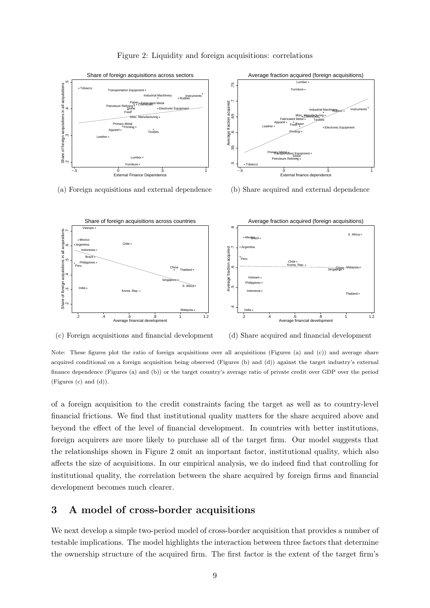<span id="page-11-1"></span>

Figure 2: Liquidity and foreign acquisitions: correlations

(a) Foreign acquisitions and external dependence (b) Share acquired and external dependence



(c) Foreign acquisitions and financial development (d) Share acquired and financial development

Note: These figures plot the ratio of foreign acquisitions over all acquisitions (Figures (a) and (c)) and average share acquired conditional on a foreign acquisition being observed (Figures (b) and (d)) against the target industry's external finance dependence (Figures (a) and (b)) or the target country's average ratio of private credit over GDP over the period (Figures (c) and (d)).

of a foreign acquisition to the credit constraints facing the target as well as to country-level financial frictions. We find that institutional quality matters for the share acquired above and beyond the effect of the level of financial development. In countries with better institutions, foreign acquirers are more likely to purchase all of the target firm. Our model suggests that the relationships shown in Figure [2](#page-11-1) omit an important factor, institutional quality, which also affects the size of acquisitions. In our empirical analysis, we do indeed find that controlling for institutional quality, the correlation between the share acquired by foreign firms and financial development becomes much clearer.

# <span id="page-11-0"></span>3 A model of cross-border acquisitions

We next develop a simple two-period model of cross-border acquisition that provides a number of testable implications. The model highlights the interaction between three factors that determine the ownership structure of the acquired firm. The first factor is the extent of the target firm's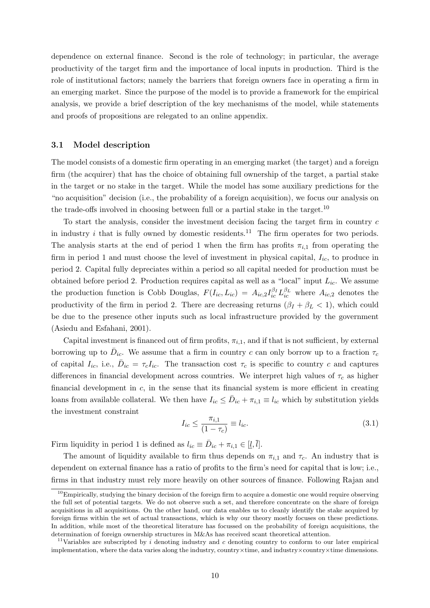dependence on external finance. Second is the role of technology; in particular, the average productivity of the target firm and the importance of local inputs in production. Third is the role of institutional factors; namely the barriers that foreign owners face in operating a firm in an emerging market. Since the purpose of the model is to provide a framework for the empirical analysis, we provide a brief description of the key mechanisms of the model, while statements and proofs of propositions are relegated to an online appendix.

### 3.1 Model description

The model consists of a domestic firm operating in an emerging market (the target) and a foreign firm (the acquirer) that has the choice of obtaining full ownership of the target, a partial stake in the target or no stake in the target. While the model has some auxiliary predictions for the "no acquisition" decision (i.e., the probability of a foreign acquisition), we focus our analysis on the trade-offs involved in choosing between full or a partial stake in the target.[10](#page-12-0)

To start the analysis, consider the investment decision facing the target firm in country  $c$ in industry  $i$  that is fully owned by domestic residents.<sup>[11](#page-12-1)</sup> The firm operates for two periods. The analysis starts at the end of period 1 when the firm has profits  $\pi_{i,1}$  from operating the firm in period 1 and must choose the level of investment in physical capital,  $I_{ic}$ , to produce in period 2. Capital fully depreciates within a period so all capital needed for production must be obtained before period 2. Production requires capital as well as a "local" input  $L_{ic}$ . We assume the production function is Cobb Douglas,  $F(I_{ic}, L_{ic}) = A_{ic,2} I_{ic}^{\beta_I} L_{ic}^{\beta_L}$  where  $A_{ic,2}$  denotes the productivity of the firm in period 2. There are decreasing returns  $(\beta_I + \beta_L < 1)$ , which could be due to the presence other inputs such as local infrastructure provided by the government [\(Asiedu and Esfahani, 2001\)](#page-38-3).

Capital investment is financed out of firm profits,  $\pi_{i,1}$ , and if that is not sufficient, by external borrowing up to  $\bar{D}_{ic}$ . We assume that a firm in country c can only borrow up to a fraction  $\tau_c$ of capital  $I_{ic}$ , i.e.,  $\bar{D}_{ic} = \tau_c I_{ic}$ . The transaction cost  $\tau_c$  is specific to country c and captures differences in financial development across countries. We interpret high values of  $\tau_c$  as higher financial development in  $c$ , in the sense that its financial system is more efficient in creating loans from available collateral. We then have  $I_{ic} \leq \bar{D}_{ic} + \pi_{i,1} \equiv l_{ic}$  which by substitution yields the investment constraint

<span id="page-12-2"></span>
$$
I_{ic} \le \frac{\pi_{i,1}}{(1 - \tau_c)} \equiv l_{ic}.\tag{3.1}
$$

Firm liquidity in period 1 is defined as  $l_{ic} \equiv \bar{D}_{ic} + \pi_{i,1} \in [l, \bar{l}].$ 

The amount of liquidity available to firm thus depends on  $\pi_{i,1}$  and  $\tau_c$ . An industry that is dependent on external finance has a ratio of profits to the firm's need for capital that is low; i.e., firms in that industry must rely more heavily on other sources of finance. Following [Rajan and](#page-40-2)

<span id="page-12-0"></span> $10<sup>10</sup>$  [Empirically, studying the binary decision of the foreign firm to acquire a domestic one would require observing](#page-40-2) [the full set of potential targets. We do not observe such a set, and therefore concentrate on the share of foreign](#page-40-2) [acquisitions in all acquisitions. On the other hand, our data enables us to cleanly identify the stake acquired by](#page-40-2) [foreign firms within the set of actual transactions, which is why our theory mostly focuses on these predictions.](#page-40-2) [In addition, while most of the theoretical literature has focussed on the probability of foreign acquisitions, the](#page-40-2) [determination of foreign ownership structures in M&As has received scant theoretical attention.](#page-40-2)

<span id="page-12-1"></span><sup>&</sup>lt;sup>11</sup>Variables are subscripted by i denoting industry and c [denoting country to conform to our later empirical](#page-40-2) [implementation, where the data varies along the industry, country](#page-40-2)×time, and industry×country×time dimensions.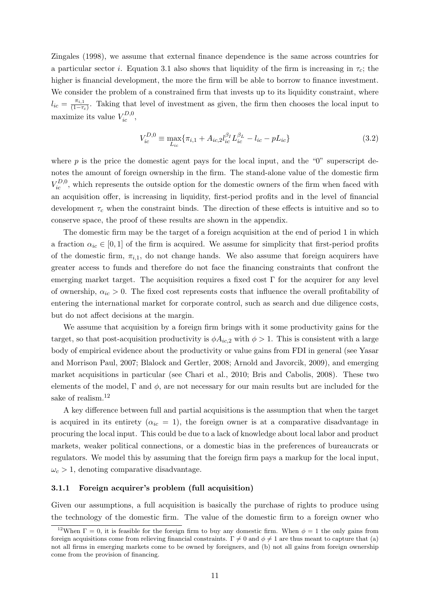[Zingales \(1998\)](#page-40-2), we assume that external finance dependence is the same across countries for a particular sector *i*. Equation [3.1](#page-12-2) also shows that liquidity of the firm is increasing in  $\tau_c$ ; the higher is financial development, the more the firm will be able to borrow to finance investment. We consider the problem of a constrained firm that invests up to its liquidity constraint, where  $l_{ic} = \frac{\pi_{i,1}}{(1-\tau)}$  $\frac{\pi_{i,1}}{(1-\tau_c)}$ . Taking that level of investment as given, the firm then chooses the local input to maximize its value  $V_{ic}^{D,0}$ ,

$$
V_{ic}^{D,0} \equiv \max_{L_{ic}} \{ \pi_{i,1} + A_{ic,2} l_{ic}^{\beta_I} L_{ic}^{\beta_L} - l_{ic} - p L_{ic} \}
$$
(3.2)

where  $p$  is the price the domestic agent pays for the local input, and the "0" superscript denotes the amount of foreign ownership in the firm. The stand-alone value of the domestic firm  $V_{ic}^{D,0}$ , which represents the outside option for the domestic owners of the firm when faced with an acquisition offer, is increasing in liquidity, first-period profits and in the level of financial development  $\tau_c$  when the constraint binds. The direction of these effects is intuitive and so to conserve space, the proof of these results are shown in the appendix.

The domestic firm may be the target of a foreign acquisition at the end of period 1 in which a fraction  $\alpha_{ic} \in [0,1]$  of the firm is acquired. We assume for simplicity that first-period profits of the domestic firm,  $\pi_{i,1}$ , do not change hands. We also assume that foreign acquirers have greater access to funds and therefore do not face the financing constraints that confront the emerging market target. The acquisition requires a fixed cost  $\Gamma$  for the acquirer for any level of ownership,  $\alpha_{ic} > 0$ . The fixed cost represents costs that influence the overall profitability of entering the international market for corporate control, such as search and due diligence costs, but do not affect decisions at the margin.

We assume that acquisition by a foreign firm brings with it some productivity gains for the target, so that post-acquisition productivity is  $\phi A_{ic,2}$  with  $\phi > 1$ . This is consistent with a large body of empirical evidence about the productivity or value gains from FDI in general (see [Yasar](#page-40-9) [and Morrison Paul, 2007;](#page-40-9) [Blalock and Gertler, 2008;](#page-38-9) [Arnold and Javorcik, 2009\)](#page-38-10), and emerging market acquisitions in particular (see [Chari et al., 2010;](#page-38-0) [Bris and Cabolis, 2008\)](#page-38-11). These two elements of the model,  $\Gamma$  and  $\phi$ , are not necessary for our main results but are included for the sake of realism.<sup>[12](#page-13-0)</sup>

A key difference between full and partial acquisitions is the assumption that when the target is acquired in its entirety ( $\alpha_{ic} = 1$ ), the foreign owner is at a comparative disadvantage in procuring the local input. This could be due to a lack of knowledge about local labor and product markets, weaker political connections, or a domestic bias in the preferences of bureaucrats or regulators. We model this by assuming that the foreign firm pays a markup for the local input,  $\omega_c > 1$ , denoting comparative disadvantage.

#### 3.1.1 Foreign acquirer's problem (full acquisition)

Given our assumptions, a full acquisition is basically the purchase of rights to produce using the technology of the domestic firm. The value of the domestic firm to a foreign owner who

<span id="page-13-0"></span><sup>&</sup>lt;sup>12</sup>When  $\Gamma = 0$ , it is feasible for the foreign firm to buy any domestic firm. When  $\phi = 1$  the only gains from foreign acquisitions come from relieving financial constraints.  $\Gamma \neq 0$  and  $\phi \neq 1$  are thus meant to capture that (a) not all firms in emerging markets come to be owned by foreigners, and (b) not all gains from foreign ownership come from the provision of financing.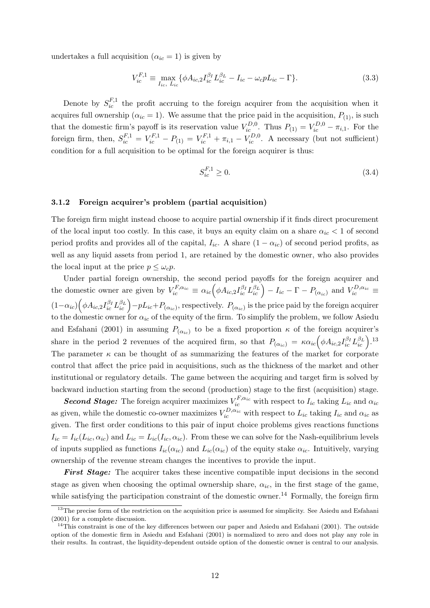undertakes a full acquisition  $(\alpha_{ic} = 1)$  is given by

$$
V_{ic}^{F,1} \equiv \max_{I_{ic}, L_{ic}} \{ \phi A_{ic,2} I_{ic}^{\beta_I} L_{ic}^{\beta_L} - I_{ic} - \omega_c p L_{ic} - \Gamma \}. \tag{3.3}
$$

Denote by  $S_{ic}^{F,1}$  the profit accruing to the foreign acquirer from the acquisition when it acquires full ownership ( $\alpha_{ic} = 1$ ). We assume that the price paid in the acquisition,  $P_{(1)}$ , is such that the domestic firm's payoff is its reservation value  $V_{ic}^{D,0}$ . Thus  $P_{(1)} = V_{ic}^{D,0} - \pi_{i,1}$ . For the foreign firm, then,  $S_{ic}^{F,1} = V_{ic}^{F,1} - P_{(1)} = V_{ic}^{F,1} + \pi_{i,1} - V_{ic}^{D,0}$ . A necessary (but not sufficient) condition for a full acquisition to be optimal for the foreign acquirer is thus:

$$
S_{ic}^{F,1} \ge 0. \tag{3.4}
$$

#### 3.1.2 Foreign acquirer's problem (partial acquisition)

The foreign firm might instead choose to acquire partial ownership if it finds direct procurement of the local input too costly. In this case, it buys an equity claim on a share  $\alpha_{ic} < 1$  of second period profits and provides all of the capital,  $I_{ic}$ . A share  $(1 - \alpha_{ic})$  of second period profits, as well as any liquid assets from period 1, are retained by the domestic owner, who also provides the local input at the price  $p < \omega_c p$ .

Under partial foreign ownership, the second period payoffs for the foreign acquirer and the domestic owner are given by  $V_{ic}^{F,\alpha_{ic}} \equiv \alpha_{ic} \Big( \phi A_{ic,2} I_{ic}^{\beta_I} L_{ic}^{\beta_L} \Big) - I_{ic} - \Gamma - P_{(\alpha_{ic})}$  and  $V_{ic}^{D,\alpha_{ic}} \equiv$  $(1-\alpha_{ic})\left(\phi A_{ic,2}I_{ic}^{\beta_I}L_{ic}^{\beta_L}\right)-pL_{ic}+P_{(\alpha_{ic})}$ , respectively.  $P_{(\alpha_{ic})}$  is the price paid by the foreign acquirer to the domestic owner for  $\alpha_{ic}$  of the equity of the firm. To simplify the problem, we follow [Asiedu](#page-38-3) [and Esfahani \(2001\)](#page-38-3) in assuming  $P_{(\alpha_{ic})}$  to be a fixed proportion  $\kappa$  of the foreign acquirer's share in the period 2 revenues of the acquired firm, so that  $P_{(\alpha_{ic})} = \kappa \alpha_{ic} \left( \phi A_{ic,2} I_{ic}^{\beta_I} L_{ic}^{\beta_L} \right).$ <sup>[13](#page-14-0)</sup> The parameter  $\kappa$  can be thought of as summarizing the features of the market for corporate control that affect the price paid in acquisitions, such as the thickness of the market and other institutional or regulatory details. The game between the acquiring and target firm is solved by backward induction starting from the second (production) stage to the first (acquisition) stage.

**Second Stage:** The foreign acquirer maximizes  $V_{ic}^{F,\alpha_{ic}}$  with respect to  $I_{ic}$  taking  $L_{ic}$  and  $\alpha_{ic}$ as given, while the domestic co-owner maximizes  $V_{ic}^{D,\alpha_{ic}}$  with respect to  $L_{ic}$  taking  $I_{ic}$  and  $\alpha_{ic}$  as given. The first order conditions to this pair of input choice problems gives reactions functions  $I_{ic} = I_{ic}(L_{ic}, \alpha_{ic})$  and  $L_{ic} = L_{ic}(I_{ic}, \alpha_{ic})$ . From these we can solve for the Nash-equilibrium levels of inputs supplied as functions  $I_{ic}(\alpha_{ic})$  and  $L_{ic}(\alpha_{ic})$  of the equity stake  $\alpha_{ic}$ . Intuitively, varying ownership of the revenue stream changes the incentives to provide the input.

First Stage: The acquirer takes these incentive compatible input decisions in the second stage as given when choosing the optimal ownership share,  $\alpha_{ic}$ , in the first stage of the game, while satisfying the participation constraint of the domestic owner.<sup>[14](#page-14-1)</sup> Formally, the foreign firm

<span id="page-14-0"></span><sup>&</sup>lt;sup>13</sup>The precise form of the restriction on the acquisition price is assumed for simplicity. See [Asiedu and Esfahani](#page-38-3) [\(2001\)](#page-38-3) for a complete discussion.

<span id="page-14-1"></span> $14$ This constraint is one of the key differences between our paper and [Asiedu and Esfahani \(2001\)](#page-38-3). The outside option of the domestic firm in [Asiedu and Esfahani \(2001\)](#page-38-3) is normalized to zero and does not play any role in their results. In contrast, the liquidity-dependent outside option of the domestic owner is central to our analysis.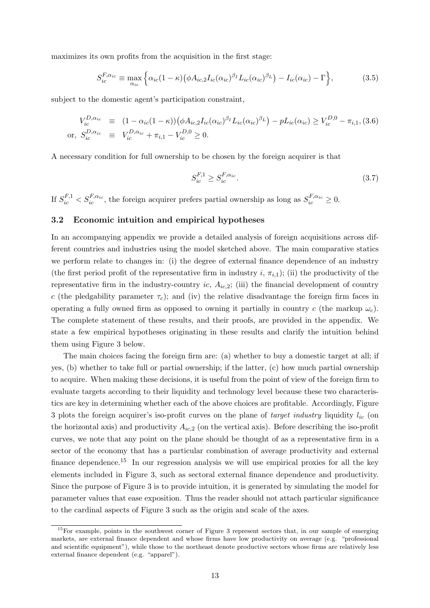maximizes its own profits from the acquisition in the first stage:

$$
S_{ic}^{F,\alpha_{ic}} \equiv \max_{\alpha_{ic}} \left\{ \alpha_{ic} (1 - \kappa) \left( \phi A_{ic,2} I_{ic} (\alpha_{ic})^{\beta_I} L_{ic} (\alpha_{ic})^{\beta_L} \right) - I_{ic} (\alpha_{ic}) - \Gamma \right\},\tag{3.5}
$$

subject to the domestic agent's participation constraint,

<span id="page-15-1"></span>
$$
V_{ic}^{D,\alpha_{ic}} \equiv (1 - \alpha_{ic}(1 - \kappa)) \left( \phi A_{ic,2} I_{ic} (\alpha_{ic})^{\beta_I} L_{ic} (\alpha_{ic})^{\beta_L} \right) - p L_{ic} (\alpha_{ic}) \ge V_{ic}^{D,0} - \pi_{i,1}, (3.6)
$$
  
or,  $S_{ic}^{D,\alpha_{ic}} \equiv V_{ic}^{D,\alpha_{ic}} + \pi_{i,1} - V_{ic}^{D,0} \ge 0.$ 

A necessary condition for full ownership to be chosen by the foreign acquirer is that

$$
S_{ic}^{F,1} \ge S_{ic}^{F,\alpha_{ic}}.\tag{3.7}
$$

If  $S_{ic}^{F,1} < S_{ic}^{F,\alpha_{ic}}$ , the foreign acquirer prefers partial ownership as long as  $S_{ic}^{F,\alpha_{ic}} \geq 0$ .

### <span id="page-15-2"></span>3.2 Economic intuition and empirical hypotheses

In an accompanying appendix we provide a detailed analysis of foreign acquisitions across different countries and industries using the model sketched above. The main comparative statics we perform relate to changes in: (i) the degree of external finance dependence of an industry (the first period profit of the representative firm in industry i,  $\pi_{i,1}$ ); (ii) the productivity of the representative firm in the industry-country *ic*,  $A_{ic,2}$ ; (iii) the financial development of country c (the pledgability parameter  $\tau_c$ ); and (iv) the relative disadvantage the foreign firm faces in operating a fully owned firm as opposed to owning it partially in country c (the markup  $\omega_c$ ). The complete statement of these results, and their proofs, are provided in the appendix. We state a few empirical hypotheses originating in these results and clarify the intuition behind them using Figure [3](#page-16-0) below.

The main choices facing the foreign firm are: (a) whether to buy a domestic target at all; if yes, (b) whether to take full or partial ownership; if the latter, (c) how much partial ownership to acquire. When making these decisions, it is useful from the point of view of the foreign firm to evaluate targets according to their liquidity and technology level because these two characteristics are key in determining whether each of the above choices are profitable. Accordingly, Figure [3](#page-16-0) plots the foreign acquirer's iso-profit curves on the plane of *target industry* liquidity  $l_{ic}$  (on the horizontal axis) and productivity  $A_{ic,2}$  (on the vertical axis). Before describing the iso-profit curves, we note that any point on the plane should be thought of as a representative firm in a sector of the economy that has a particular combination of average productivity and external finance dependence.<sup>[15](#page-15-0)</sup> In our regression analysis we will use empirical proxies for all the key elements included in Figure [3,](#page-16-0) such as sectoral external finance dependence and productivity. Since the purpose of Figure [3](#page-16-0) is to provide intuition, it is generated by simulating the model for parameter values that ease exposition. Thus the reader should not attach particular significance to the cardinal aspects of Figure [3](#page-16-0) such as the origin and scale of the axes.

<span id="page-15-0"></span><sup>&</sup>lt;sup>15</sup>For example, points in the southwest corner of Figure [3](#page-16-0) represent sectors that, in our sample of emerging markets, are external finance dependent and whose firms have low productivity on average (e.g. "professional and scientific equipment"), while those to the northeast denote productive sectors whose firms are relatively less external finance dependent (e.g. "apparel").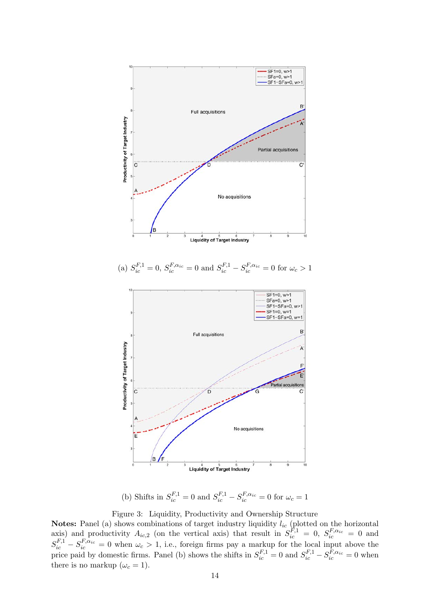<span id="page-16-0"></span>

(b) Shifts in  $S_{ic}^{F,1} = 0$  and  $S_{ic}^{F,1} - S_{ic}^{F,\alpha_{ic}} = 0$  for  $\omega_c = 1$ 

Figure 3: Liquidity, Productivity and Ownership Structure

**Notes:** Panel (a) shows combinations of target industry liquidity  $l_{ic}$  (plotted on the horizontal axis) and productivity  $A_{ic,2}$  (on the vertical axis) that result in  $S_{ic}^{F,1} = 0$ ,  $S_{ic}^{F,\alpha_{ic}} = 0$  and  $S_{ic}^{F,1} - S_{ic}^{F,\alpha_{ic}} = 0$  when  $\omega_c > 1$ , i.e., foreign firms pay a markup for the local input above the price paid by domestic firms. Panel (b) shows the shifts in  $S_{ic}^{F,1} = 0$  and  $S_{ic}^{F,1} - S_{ic}^{F,\alpha_{ic}} = 0$  when there is no markup  $(\omega_c = 1)$ .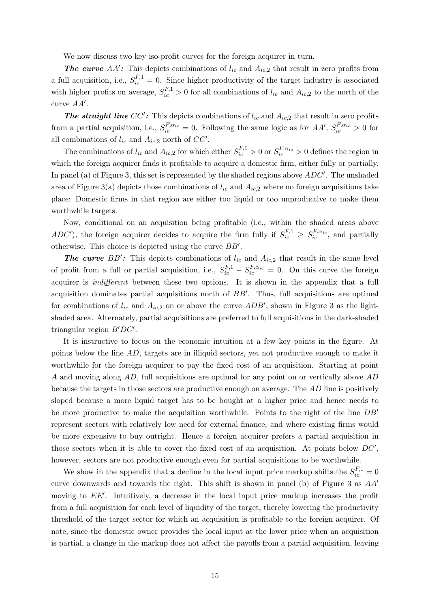We now discuss two key iso-profit curves for the foreign acquirer in turn.

**The curve** AA': This depicts combinations of  $l_{ic}$  and  $A_{ic,2}$  that result in zero profits from a full acquisition, i.e.,  $S_{ic}^{F,1} = 0$ . Since higher productivity of the target industry is associated with higher profits on average,  $S_{ic}^{F,1} > 0$  for all combinations of  $l_{ic}$  and  $A_{ic,2}$  to the north of the curve  $AA'$ .

**The straight line CC':** This depicts combinations of  $l_{ic}$  and  $A_{ic,2}$  that result in zero profits from a partial acquisition, i.e.,  $S_{ic}^{F,\alpha_{ic}} = 0$ . Following the same logic as for  $AA', S_{ic}^{F,\alpha_{ic}} > 0$  for all combinations of  $l_{ic}$  and  $A_{ic,2}$  north of  $CC'$ .

The combinations of  $l_{ic}$  and  $A_{ic,2}$  for which either  $S_{ic}^{F,1} > 0$  or  $S_{ic}^{F,\alpha_{ic}} > 0$  defines the region in which the foreign acquirer finds it profitable to acquire a domestic firm, either fully or partially. In panel (a) of Figure [3,](#page-16-0) this set is represented by the shaded regions above  $ADC'$ . The unshaded area of Figure [3\(](#page-16-0)a) depicts those combinations of  $l_{ic}$  and  $A_{ic,2}$  where no foreign acquisitions take place: Domestic firms in that region are either too liquid or too unproductive to make them worthwhile targets.

Now, conditional on an acquisition being profitable (i.e., within the shaded areas above ADC'), the foreign acquirer decides to acquire the firm fully if  $S_{ic}^{F,1} \geq S_{ic}^{F,\alpha_{ic}}$ , and partially otherwise. This choice is depicted using the curve  $BB'$ .

**The curve** BB': This depicts combinations of  $l_{ic}$  and  $A_{ic,2}$  that result in the same level of profit from a full or partial acquisition, i.e.,  $S_{ic}^{F,1} - S_{ic}^{F,\alpha_{ic}} = 0$ . On this curve the foreign acquirer is indifferent between these two options. It is shown in the appendix that a full acquisition dominates partial acquisitions north of  $BB'$ . Thus, full acquisitions are optimal for combinations of  $l_{ic}$  and  $A_{ic,2}$  on or above the curve  $ADB'$ , shown in Figure [3](#page-16-0) as the lightshaded area. Alternately, partial acquisitions are preferred to full acquisitions in the dark-shaded triangular region  $B'DC'$ .

It is instructive to focus on the economic intuition at a few key points in the figure. At points below the line AD, targets are in illiquid sectors, yet not productive enough to make it worthwhile for the foreign acquirer to pay the fixed cost of an acquisition. Starting at point A and moving along AD, full acquisitions are optimal for any point on or vertically above AD because the targets in those sectors are productive enough on average. The AD line is positively sloped because a more liquid target has to be bought at a higher price and hence needs to be more productive to make the acquisition worthwhile. Points to the right of the line  $DB'$ represent sectors with relatively low need for external finance, and where existing firms would be more expensive to buy outright. Hence a foreign acquirer prefers a partial acquisition in those sectors when it is able to cover the fixed cost of an acquisition. At points below  $DC'$ , however, sectors are not productive enough even for partial acquisitions to be worthwhile.

We show in the appendix that a decline in the local input price markup shifts the  $S_{ic}^{F,1} = 0$ curve downwards and towards the right. This shift is shown in panel (b) of Figure [3](#page-16-0) as  $AA'$ moving to  $EE'$ . Intuitively, a decrease in the local input price markup increases the profit from a full acquisition for each level of liquidity of the target, thereby lowering the productivity threshold of the target sector for which an acquisition is profitable to the foreign acquirer. Of note, since the domestic owner provides the local input at the lower price when an acquisition is partial, a change in the markup does not affect the payoffs from a partial acquisition, leaving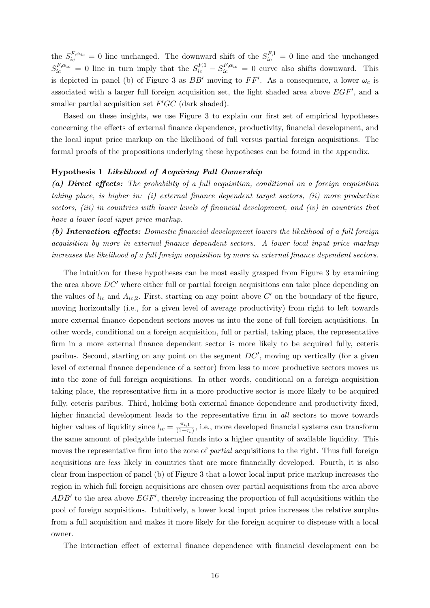the  $S_{ic}^{F,\alpha_{ic}} = 0$  line unchanged. The downward shift of the  $S_{ic}^{F,1} = 0$  line and the unchanged  $S_{ic}^{F,\alpha_{ic}} = 0$  line in turn imply that the  $S_{ic}^{F,1} - S_{ic}^{F,\alpha_{ic}} = 0$  curve also shifts downward. This is depicted in panel (b) of Figure [3](#page-16-0) as  $BB'$  moving to  $FF'$ . As a consequence, a lower  $\omega_c$  is associated with a larger full foreign acquisition set, the light shaded area above  $EGF'$ , and a smaller partial acquisition set  $F'GC$  (dark shaded).

Based on these insights, we use Figure [3](#page-16-0) to explain our first set of empirical hypotheses concerning the effects of external finance dependence, productivity, financial development, and the local input price markup on the likelihood of full versus partial foreign acquisitions. The formal proofs of the propositions underlying these hypotheses can be found in the appendix.

### Hypothesis 1 Likelihood of Acquiring Full Ownership

(a) Direct effects: The probability of a full acquisition, conditional on a foreign acquisition taking place, is higher in: (i) external finance dependent target sectors, (ii) more productive sectors, *(iii)* in countries with lower levels of financial development, and *(iv)* in countries that have a lower local input price markup.

(b) Interaction effects: Domestic financial development lowers the likelihood of a full foreign acquisition by more in external finance dependent sectors. A lower local input price markup increases the likelihood of a full foreign acquisition by more in external finance dependent sectors.

The intuition for these hypotheses can be most easily grasped from Figure [3](#page-16-0) by examining the area above  $DC'$  where either full or partial foreign acquisitions can take place depending on the values of  $l_{ic}$  and  $A_{ic,2}$ . First, starting on any point above  $C'$  on the boundary of the figure, moving horizontally (i.e., for a given level of average productivity) from right to left towards more external finance dependent sectors moves us into the zone of full foreign acquisitions. In other words, conditional on a foreign acquisition, full or partial, taking place, the representative firm in a more external finance dependent sector is more likely to be acquired fully, ceteris paribus. Second, starting on any point on the segment  $DC'$ , moving up vertically (for a given level of external finance dependence of a sector) from less to more productive sectors moves us into the zone of full foreign acquisitions. In other words, conditional on a foreign acquisition taking place, the representative firm in a more productive sector is more likely to be acquired fully, ceteris paribus. Third, holding both external finance dependence and productivity fixed, higher financial development leads to the representative firm in all sectors to move towards higher values of liquidity since  $l_{ic} = \frac{\pi_{i,1}}{(1-\tau_{i})}$  $\frac{n_{i,1}}{(1-\tau_c)}$ , i.e., more developed financial systems can transform the same amount of pledgable internal funds into a higher quantity of available liquidity. This moves the representative firm into the zone of *partial* acquisitions to the right. Thus full foreign acquisitions are less likely in countries that are more financially developed. Fourth, it is also clear from inspection of panel (b) of Figure [3](#page-16-0) that a lower local input price markup increases the region in which full foreign acquisitions are chosen over partial acquisitions from the area above  $ADB'$  to the area above  $EGF'$ , thereby increasing the proportion of full acquisitions within the pool of foreign acquisitions. Intuitively, a lower local input price increases the relative surplus from a full acquisition and makes it more likely for the foreign acquirer to dispense with a local owner.

The interaction effect of external finance dependence with financial development can be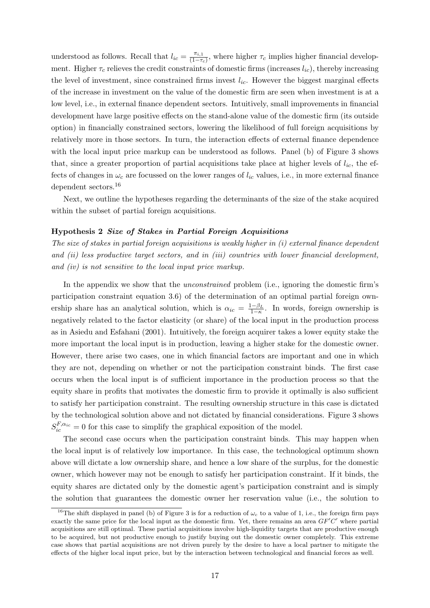understood as follows. Recall that  $l_{ic} = \frac{\pi_{i,1}}{(1-\tau_{i})}$  $\frac{\pi_{i,1}}{(1-\tau_c)}$ , where higher  $\tau_c$  implies higher financial development. Higher  $\tau_c$  relieves the credit constraints of domestic firms (increases  $l_{ic}$ ), thereby increasing the level of investment, since constrained firms invest  $l_{ic}$ . However the biggest marginal effects of the increase in investment on the value of the domestic firm are seen when investment is at a low level, i.e., in external finance dependent sectors. Intuitively, small improvements in financial development have large positive effects on the stand-alone value of the domestic firm (its outside option) in financially constrained sectors, lowering the likelihood of full foreign acquisitions by relatively more in those sectors. In turn, the interaction effects of external finance dependence with the local input price markup can be understood as follows. Panel (b) of Figure [3](#page-16-0) shows that, since a greater proportion of partial acquisitions take place at higher levels of  $l_{ic}$ , the effects of changes in  $\omega_c$  are focussed on the lower ranges of  $l_{ic}$  values, i.e., in more external finance dependent sectors.[16](#page-19-0)

Next, we outline the hypotheses regarding the determinants of the size of the stake acquired within the subset of partial foreign acquisitions.

#### Hypothesis 2 Size of Stakes in Partial Foreign Acquisitions

The size of stakes in partial foreign acquisitions is weakly higher in (i) external finance dependent and (ii) less productive target sectors, and in (iii) countries with lower financial development, and (iv) is not sensitive to the local input price markup.

In the appendix we show that the unconstrained problem (i.e., ignoring the domestic firm's participation constraint equation [3.6\)](#page-15-1) of the determination of an optimal partial foreign ownership share has an analytical solution, which is  $\alpha_{ic} = \frac{1-\beta_L}{1-\kappa}$ . In words, foreign ownership is negatively related to the factor elasticity (or share) of the local input in the production process as in [Asiedu and Esfahani \(2001\)](#page-38-3). Intuitively, the foreign acquirer takes a lower equity stake the more important the local input is in production, leaving a higher stake for the domestic owner. However, there arise two cases, one in which financial factors are important and one in which they are not, depending on whether or not the participation constraint binds. The first case occurs when the local input is of sufficient importance in the production process so that the equity share in profits that motivates the domestic firm to provide it optimally is also sufficient to satisfy her participation constraint. The resulting ownership structure in this case is dictated by the technological solution above and not dictated by financial considerations. Figure [3](#page-16-0) shows  $S_{ic}^{F,\alpha_{ic}} = 0$  for this case to simplify the graphical exposition of the model.

The second case occurs when the participation constraint binds. This may happen when the local input is of relatively low importance. In this case, the technological optimum shown above will dictate a low ownership share, and hence a low share of the surplus, for the domestic owner, which however may not be enough to satisfy her participation constraint. If it binds, the equity shares are dictated only by the domestic agent's participation constraint and is simply the solution that guarantees the domestic owner her reservation value (i.e., the solution to

<span id="page-19-0"></span><sup>&</sup>lt;sup>16</sup>The shift displayed in panel (b) of Figure [3](#page-16-0) is for a reduction of  $\omega_c$  to a value of 1, i.e., the foreign firm pays exactly the same price for the local input as the domestic firm. Yet, there remains an area  $GF'C'$  where partial acquisitions are still optimal. These partial acquisitions involve high-liquidity targets that are productive enough to be acquired, but not productive enough to justify buying out the domestic owner completely. This extreme case shows that partial acquisitions are not driven purely by the desire to have a local partner to mitigate the effects of the higher local input price, but by the interaction between technological and financial forces as well.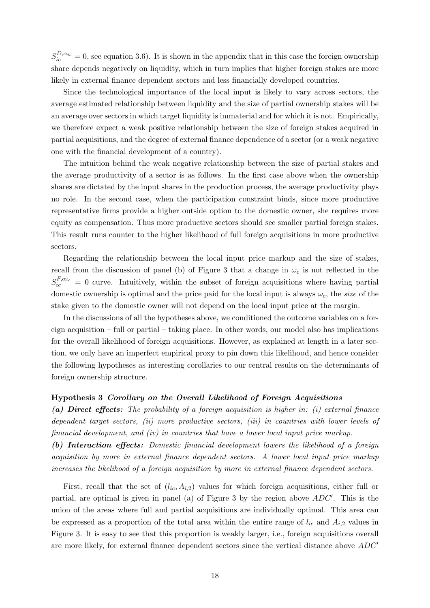$S_{ic}^{D,\alpha_{ic}}=0$ , see equation [3.6\)](#page-15-1). It is shown in the appendix that in this case the foreign ownership share depends negatively on liquidity, which in turn implies that higher foreign stakes are more likely in external finance dependent sectors and less financially developed countries.

Since the technological importance of the local input is likely to vary across sectors, the average estimated relationship between liquidity and the size of partial ownership stakes will be an average over sectors in which target liquidity is immaterial and for which it is not. Empirically, we therefore expect a weak positive relationship between the size of foreign stakes acquired in partial acquisitions, and the degree of external finance dependence of a sector (or a weak negative one with the financial development of a country).

The intuition behind the weak negative relationship between the size of partial stakes and the average productivity of a sector is as follows. In the first case above when the ownership shares are dictated by the input shares in the production process, the average productivity plays no role. In the second case, when the participation constraint binds, since more productive representative firms provide a higher outside option to the domestic owner, she requires more equity as compensation. Thus more productive sectors should see smaller partial foreign stakes. This result runs counter to the higher likelihood of full foreign acquisitions in more productive sectors.

Regarding the relationship between the local input price markup and the size of stakes, recall from the discussion of panel (b) of Figure [3](#page-16-0) that a change in  $\omega_c$  is not reflected in the  $S_{ic}^{F,\alpha_{ic}}=0$  curve. Intuitively, within the subset of foreign acquisitions where having partial domestic ownership is optimal and the price paid for the local input is always  $\omega_c$ , the size of the stake given to the domestic owner will not depend on the local input price at the margin.

In the discussions of all the hypotheses above, we conditioned the outcome variables on a foreign acquisition – full or partial – taking place. In other words, our model also has implications for the overall likelihood of foreign acquisitions. However, as explained at length in a later section, we only have an imperfect empirical proxy to pin down this likelihood, and hence consider the following hypotheses as interesting corollaries to our central results on the determinants of foreign ownership structure.

#### Hypothesis 3 Corollary on the Overall Likelihood of Foreign Acquisitions

(a) Direct effects: The probability of a foreign acquisition is higher in: (i) external finance dependent target sectors, (ii) more productive sectors, (iii) in countries with lower levels of financial development, and (iv) in countries that have a lower local input price markup.

(b) Interaction effects: Domestic financial development lowers the likelihood of a foreign acquisition by more in external finance dependent sectors. A lower local input price markup increases the likelihood of a foreign acquisition by more in external finance dependent sectors.

First, recall that the set of  $(l_{ic}, A_{i,2})$  values for which foreign acquisitions, either full or partial, are optimal is given in panel (a) of Figure [3](#page-16-0) by the region above  $ADC'$ . This is the union of the areas where full and partial acquisitions are individually optimal. This area can be expressed as a proportion of the total area within the entire range of  $l_{ic}$  and  $A_{i,2}$  values in Figure [3.](#page-16-0) It is easy to see that this proportion is weakly larger, i.e., foreign acquisitions overall are more likely, for external finance dependent sectors since the vertical distance above  $ADC<sup>o</sup>$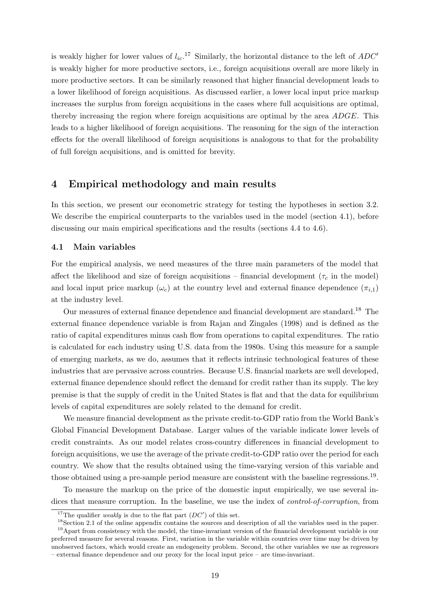is weakly higher for lower values of  $l_{ic}$ .<sup>[17](#page-21-1)</sup> Similarly, the horizontal distance to the left of  $ADC<sup>o</sup>$ is weakly higher for more productive sectors, i.e., foreign acquisitions overall are more likely in more productive sectors. It can be similarly reasoned that higher financial development leads to a lower likelihood of foreign acquisitions. As discussed earlier, a lower local input price markup increases the surplus from foreign acquisitions in the cases where full acquisitions are optimal, thereby increasing the region where foreign acquisitions are optimal by the area ADGE. This leads to a higher likelihood of foreign acquisitions. The reasoning for the sign of the interaction effects for the overall likelihood of foreign acquisitions is analogous to that for the probability of full foreign acquisitions, and is omitted for brevity.

# <span id="page-21-0"></span>4 Empirical methodology and main results

In this section, we present our econometric strategy for testing the hypotheses in section [3.2.](#page-15-2) We describe the empirical counterparts to the variables used in the model (section [4.1\)](#page-21-2), before discussing our main empirical specifications and the results (sections [4.4](#page-23-0) to [4.6\)](#page-29-0).

### <span id="page-21-2"></span>4.1 Main variables

For the empirical analysis, we need measures of the three main parameters of the model that affect the likelihood and size of foreign acquisitions – financial development ( $\tau_c$  in the model) and local input price markup ( $\omega_c$ ) at the country level and external finance dependence  $(\pi_{i,1})$ at the industry level.

Our measures of external finance dependence and financial development are standard.[18](#page-21-3) The external finance dependence variable is from [Rajan and Zingales \(1998\)](#page-40-2) and is defined as the ratio of capital expenditures minus cash flow from operations to capital expenditures. The ratio is calculated for each industry using U.S. data from the 1980s. Using this measure for a sample of emerging markets, as we do, assumes that it reflects intrinsic technological features of these industries that are pervasive across countries. Because U.S. financial markets are well developed, external finance dependence should reflect the demand for credit rather than its supply. The key premise is that the supply of credit in the United States is flat and that the data for equilibrium levels of capital expenditures are solely related to the demand for credit.

We measure financial development as the private credit-to-GDP ratio from the World Bank's Global Financial Development Database. Larger values of the variable indicate lower levels of credit constraints. As our model relates cross-country differences in financial development to foreign acquisitions, we use the average of the private credit-to-GDP ratio over the period for each country. We show that the results obtained using the time-varying version of this variable and those obtained using a pre-sample period measure are consistent with the baseline regressions.<sup>[19](#page-21-4)</sup>.

To measure the markup on the price of the domestic input empirically, we use several indices that measure corruption. In the baseline, we use the index of *control-of-corruption*, from

<span id="page-21-1"></span><sup>&</sup>lt;sup>17</sup>The qualifier *weakly* is due to the flat part  $(DC')$  of this set.

<span id="page-21-4"></span><span id="page-21-3"></span><sup>&</sup>lt;sup>18</sup>Section [2.1](#page-7-2) of the online appendix contains the sources and description of all the variables used in the paper.

 $19$ Apart from consistency with the model, the time-invariant version of the financial development variable is our preferred measure for several reasons. First, variation in the variable within countries over time may be driven by unobserved factors, which would create an endogeneity problem. Second, the other variables we use as regressors – external finance dependence and our proxy for the local input price – are time-invariant.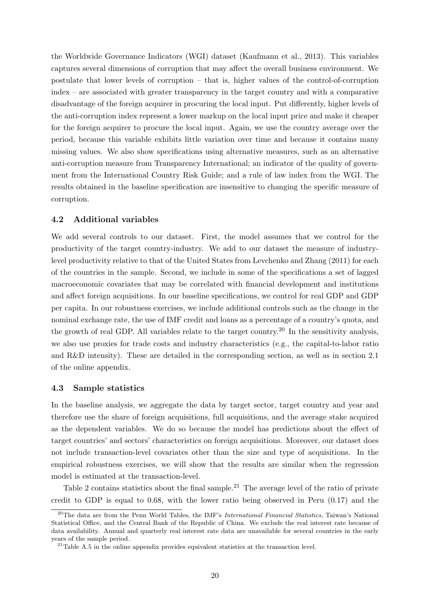the Worldwide Governance Indicators (WGI) dataset [\(Kaufmann et al., 2013\)](#page-39-12). This variables captures several dimensions of corruption that may affect the overall business environment. We postulate that lower levels of corruption – that is, higher values of the control-of-corruption index – are associated with greater transparency in the target country and with a comparative disadvantage of the foreign acquirer in procuring the local input. Put differently, higher levels of the anti-corruption index represent a lower markup on the local input price and make it cheaper for the foreign acquirer to procure the local input. Again, we use the country average over the period, because this variable exhibits little variation over time and because it contains many missing values. We also show specifications using alternative measures, such as an alternative anti-corruption measure from Transparency International; an indicator of the quality of government from the International Country Risk Guide; and a rule of law index from the WGI. The results obtained in the baseline specification are insensitive to changing the specific measure of corruption.

### <span id="page-22-2"></span>4.2 Additional variables

We add several controls to our dataset. First, the model assumes that we control for the productivity of the target country-industry. We add to our dataset the measure of industrylevel productivity relative to that of the United States from [Levchenko and Zhang \(2011\)](#page-40-10) for each of the countries in the sample. Second, we include in some of the specifications a set of lagged macroeconomic covariates that may be correlated with financial development and institutions and affect foreign acquisitions. In our baseline specifications, we control for real GDP and GDP per capita. In our robustness exercises, we include additional controls such as the change in the nominal exchange rate, the use of IMF credit and loans as a percentage of a country's quota, and the growth of real GDP. All variables relate to the target country.<sup>[20](#page-22-0)</sup> In the sensitivity analysis, we also use proxies for trade costs and industry characteristics (e.g., the capital-to-labor ratio and R&D intensity). These are detailed in the corresponding section, as well as in section [2.1](#page-7-2) of the online appendix.

### <span id="page-22-3"></span>4.3 Sample statistics

In the baseline analysis, we aggregate the data by target sector, target country and year and therefore use the share of foreign acquisitions, full acquisitions, and the average stake acquired as the dependent variables. We do so because the model has predictions about the effect of target countries' and sectors' characteristics on foreign acquisitions. Moreover, our dataset does not include transaction-level covariates other than the size and type of acquisitions. In the empirical robustness exercises, we will show that the results are similar when the regression model is estimated at the transaction-level.

Table [2](#page-23-1) contains statistics about the final sample.<sup>[21](#page-22-1)</sup> The average level of the ratio of private credit to GDP is equal to 0.68, with the lower ratio being observed in Peru (0.17) and the

<span id="page-22-0"></span><sup>&</sup>lt;sup>20</sup>The data are from the Penn World Tables, the IMF's *International Financial Statistics*, Taiwan's National Statistical Office, and the Central Bank of the Republic of China. We exclude the real interest rate because of data availability. Annual and quarterly real interest rate data are unavailable for several countries in the early years of the sample period.

<span id="page-22-1"></span><sup>&</sup>lt;sup>21</sup>Table A.5 in the online appendix provides equivalent statistics at the transaction level.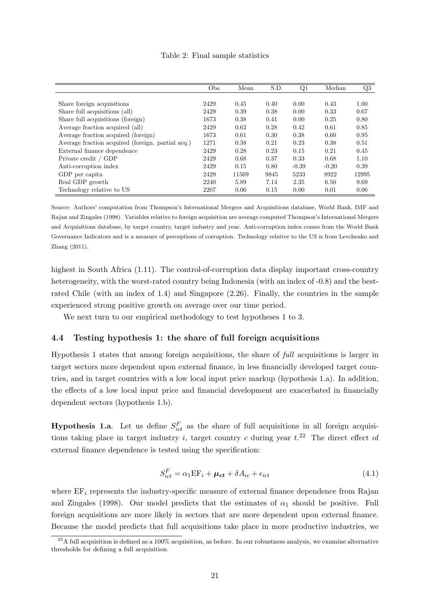| Table 2: Final sample statistics |  |
|----------------------------------|--|
|----------------------------------|--|

<span id="page-23-1"></span>

|                                                   | Obs. | Mean  | S.D. | Q1      | Median  | Q3    |
|---------------------------------------------------|------|-------|------|---------|---------|-------|
|                                                   |      |       |      |         |         |       |
| Share foreign acquisitions                        | 2429 | 0.45  | 0.40 | 0.00    | 0.43    | 1.00  |
| Share full acquisitions (all)                     | 2429 | 0.39  | 0.38 | 0.00    | 0.33    | 0.67  |
| Share full acquisitions (foreign)                 | 1673 | 0.38  | 0.41 | 0.00    | 0.25    | 0.80  |
| Average fraction acquired (all)                   | 2429 | 0.62  | 0.28 | 0.42    | 0.61    | 0.85  |
| Average fraction acquired (foreign)               | 1673 | 0.61  | 0.30 | 0.38    | 0.60    | 0.95  |
| Average fraction acquired (foreign. partial acq.) | 1271 | 0.38  | 0.21 | 0.23    | 0.38    | 0.51  |
| External finance dependence                       | 2429 | 0.28  | 0.23 | 0.15    | 0.21    | 0.45  |
| Private credit / GDP                              | 2429 | 0.68  | 0.37 | 0.33    | 0.68    | 1.10  |
| Anti-corruption index                             | 2429 | 0.15  | 0.80 | $-0.39$ | $-0.20$ | 0.39  |
| GDP per capita                                    | 2429 | 11569 | 9845 | 5233    | 8922    | 12995 |
| Real GDP growth                                   | 2240 | 5.89  | 7.14 | 2.35    | 6.50    | 9.69  |
| Technology relative to US                         | 2207 | 0.06  | 0.15 | 0.00    | 0.01    | 0.06  |

Source: Authors' computation from Thompson's International Mergers and Acquisitions database, World Bank, IMF and Rajan and Zingales (1998). Variables relative to foreign acquisition are average computed Thompson's International Mergers and Acquisitions database, by target country, target industry and year. Anti-corruption index comes from the World Bank Governance Indicators and is a measure of perceptions of corruption. Technology relative to the US is from [Levchenko and](#page-40-10) [Zhang \(2011\)](#page-40-10).

highest in South Africa (1.11). The control-of-corruption data display important cross-country heterogeneity, with the worst-rated country being Indonesia (with an index of -0.8) and the bestrated Chile (with an index of 1.4) and Singapore (2.26). Finally, the countries in the sample experienced strong positive growth on average over our time period.

We next turn to our empirical methodology to test hypotheses 1 to 3.

### <span id="page-23-0"></span>4.4 Testing hypothesis 1: the share of full foreign acquisitions

Hypothesis 1 states that among foreign acquisitions, the share of full acquisitions is larger in target sectors more dependent upon external finance, in less financially developed target countries, and in target countries with a low local input price markup (hypothesis 1.a). In addition, the effects of a low local input price and financial development are exacerbated in financially dependent sectors (hypothesis 1.b).

**Hypothesis 1.a.** Let us define  $S_{ict}^F$  as the share of full acquisitions in all foreign acquisitions taking place in target industry i, target country c during year  $t^{22}$  $t^{22}$  $t^{22}$ . The direct effect of external finance dependence is tested using the specification:

<span id="page-23-3"></span>
$$
S_{ict}^{F} = \alpha_1 \mathbf{E} \mathbf{F}_i + \boldsymbol{\mu_{ct}} + \delta A_{ic} + \epsilon_{ict}
$$
\n
$$
\tag{4.1}
$$

where  $EF_i$  represents the industry-specific measure of external finance dependence from [Rajan](#page-40-2) [and Zingales \(1998\)](#page-40-2). Our model predicts that the estimates of  $\alpha_1$  should be positive. Full foreign acquisitions are more likely in sectors that are more dependent upon external finance. Because the model predicts that full acquisitions take place in more productive industries, we

<span id="page-23-2"></span> $^{22}$ A full acquisition is defined as a 100% acquisition, as before. In our robustness analysis, we examine alternative thresholds for defining a full acquisition.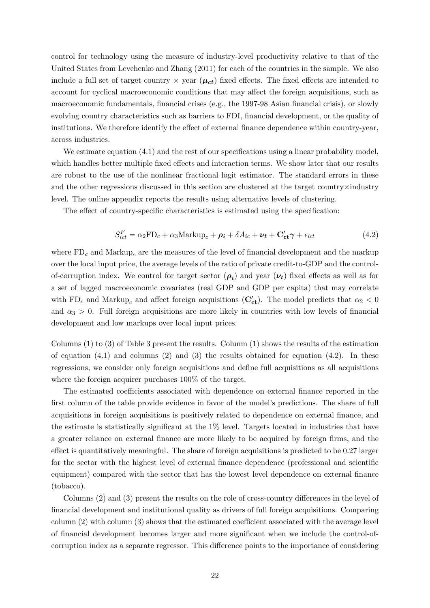control for technology using the measure of industry-level productivity relative to that of the United States from [Levchenko and Zhang \(2011\)](#page-40-10) for each of the countries in the sample. We also include a full set of target country  $\times$  year ( $\mu_{ct}$ ) fixed effects. The fixed effects are intended to account for cyclical macroeconomic conditions that may affect the foreign acquisitions, such as macroeconomic fundamentals, financial crises (e.g., the 1997-98 Asian financial crisis), or slowly evolving country characteristics such as barriers to FDI, financial development, or the quality of institutions. We therefore identify the effect of external finance dependence within country-year, across industries.

We estimate equation  $(4.1)$  and the rest of our specifications using a linear probability model, which handles better multiple fixed effects and interaction terms. We show later that our results are robust to the use of the nonlinear fractional logit estimator. The standard errors in these and the other regressions discussed in this section are clustered at the target country×industry level. The online appendix reports the results using alternative levels of clustering.

The effect of country-specific characteristics is estimated using the specification:

<span id="page-24-0"></span>
$$
S_{ict}^{F} = \alpha_2 FD_c + \alpha_3 Markup_c + \rho_i + \delta A_{ic} + \nu_t + C_{ct}'\gamma + \epsilon_{ict}
$$
\n(4.2)

where  $FD_c$  and  $Markup_c$  are the measures of the level of financial development and the markup over the local input price, the average levels of the ratio of private credit-to-GDP and the controlof-corruption index. We control for target sector  $(\rho_i)$  and year  $(\nu_t)$  fixed effects as well as for a set of lagged macroeconomic covariates (real GDP and GDP per capita) that may correlate with FD<sub>c</sub> and Markup<sub>c</sub> and affect foreign acquisitions ( $\mathbf{C'_{ct}}$ ). The model predicts that  $\alpha_2 < 0$ and  $\alpha_3 > 0$ . Full foreign acquisitions are more likely in countries with low levels of financial development and low markups over local input prices.

Columns (1) to (3) of Table [3](#page-25-0) present the results. Column (1) shows the results of the estimation of equation  $(4.1)$  and columns  $(2)$  and  $(3)$  the results obtained for equation  $(4.2)$ . In these regressions, we consider only foreign acquisitions and define full acquisitions as all acquisitions where the foreign acquirer purchases  $100\%$  of the target.

The estimated coefficients associated with dependence on external finance reported in the first column of the table provide evidence in favor of the model's predictions. The share of full acquisitions in foreign acquisitions is positively related to dependence on external finance, and the estimate is statistically significant at the 1% level. Targets located in industries that have a greater reliance on external finance are more likely to be acquired by foreign firms, and the effect is quantitatively meaningful. The share of foreign acquisitions is predicted to be 0.27 larger for the sector with the highest level of external finance dependence (professional and scientific equipment) compared with the sector that has the lowest level dependence on external finance (tobacco).

Columns (2) and (3) present the results on the role of cross-country differences in the level of financial development and institutional quality as drivers of full foreign acquisitions. Comparing column (2) with column (3) shows that the estimated coefficient associated with the average level of financial development becomes larger and more significant when we include the control-ofcorruption index as a separate regressor. This difference points to the importance of considering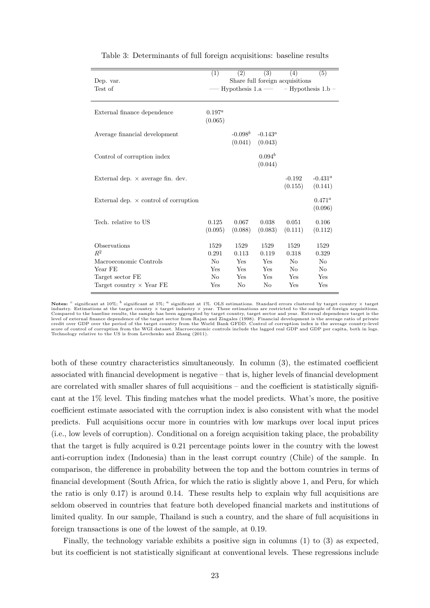<span id="page-25-0"></span>

| Dep. var.<br>Test of                                                                                              | (1)                                                 | (2)                                      | (3)                                      | (4)<br>Share full foreign acquisitions<br>Hypothesis $1.a \rightarrow \text{Hypothesis } 1.b$ | (5)                                     |
|-------------------------------------------------------------------------------------------------------------------|-----------------------------------------------------|------------------------------------------|------------------------------------------|-----------------------------------------------------------------------------------------------|-----------------------------------------|
| External finance dependence                                                                                       | $0.197^{a}$<br>(0.065)                              |                                          |                                          |                                                                                               |                                         |
| Average financial development                                                                                     |                                                     | $-0.098^b$<br>(0.041)                    | $-0.143^a$<br>(0.043)                    |                                                                                               |                                         |
| Control of corruption index                                                                                       |                                                     |                                          | $0.094^b$<br>(0.044)                     |                                                                                               |                                         |
| External dep. $\times$ average fin. dev.                                                                          |                                                     |                                          |                                          | $-0.192$<br>(0.155)                                                                           | $-0.431^a$<br>(0.141)                   |
| External dep. $\times$ control of corruption                                                                      |                                                     |                                          |                                          |                                                                                               | $0.471^a$<br>(0.096)                    |
| Tech. relative to US                                                                                              | 0.125<br>(0.095)                                    | 0.067<br>(0.088)                         | 0.038<br>(0.083)                         | 0.051<br>(0.111)                                                                              | 0.106<br>(0.112)                        |
| Observations<br>$R^2$<br>Macroeconomic Controls<br>Year FE<br>Target sector FE<br>Target country $\times$ Year FE | 1529<br>0.291<br>No<br>Yes<br>N <sub>o</sub><br>Yes | 1529<br>0.113<br>Yes<br>Yes<br>Yes<br>No | 1529<br>0.119<br>Yes<br>Yes<br>Yes<br>No | 1529<br>0.318<br>N <sub>o</sub><br>N <sub>0</sub><br>Yes<br>Yes                               | 1529<br>0.329<br>No<br>No<br>Yes<br>Yes |

Table 3: Determinants of full foreign acquisitions: baseline results

both of these country characteristics simultaneously. In column (3), the estimated coefficient associated with financial development is negative – that is, higher levels of financial development are correlated with smaller shares of full acquisitions – and the coefficient is statistically significant at the 1% level. This finding matches what the model predicts. What's more, the positive coefficient estimate associated with the corruption index is also consistent with what the model predicts. Full acquisitions occur more in countries with low markups over local input prices (i.e., low levels of corruption). Conditional on a foreign acquisition taking place, the probability that the target is fully acquired is 0.21 percentage points lower in the country with the lowest anti-corruption index (Indonesia) than in the least corrupt country (Chile) of the sample. In comparison, the difference in probability between the top and the bottom countries in terms of financial development (South Africa, for which the ratio is slightly above 1, and Peru, for which the ratio is only 0.17) is around 0.14. These results help to explain why full acquisitions are seldom observed in countries that feature both developed financial markets and institutions of limited quality. In our sample, Thailand is such a country, and the share of full acquisitions in foreign transactions is one of the lowest of the sample, at 0.19.

Finally, the technology variable exhibits a positive sign in columns (1) to (3) as expected, but its coefficient is not statistically significant at conventional levels. These regressions include

Notes: <sup>c</sup> significant at 10%; <sup>b</sup> significant at 5%; <sup>a</sup> significant at 1%. OLS estimations. Standard errors clustered by target country  $\times$  target industry. Estimations at the target country × target industry × year. These estimations are restricted to the sample of foreign acquisitions.<br>Compared to the baseline results, the sample has been aggregated by target count level of external finance dependence of the target sector from [Rajan and Zingales](#page-40-2) [\(1998\)](#page-40-2). Financial development is the average ratio of private<br>credit over GDP over the period of the target country from the World Bank GFDD Technology relative to the US is from [Levchenko and Zhang](#page-40-10) [\(2011\)](#page-40-10).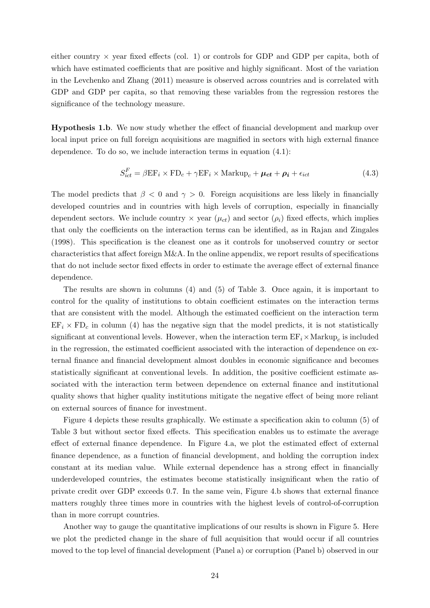either country  $\times$  year fixed effects (col. 1) or controls for GDP and GDP per capita, both of which have estimated coefficients that are positive and highly significant. Most of the variation in the [Levchenko and Zhang \(2011\)](#page-40-10) measure is observed across countries and is correlated with GDP and GDP per capita, so that removing these variables from the regression restores the significance of the technology measure.

Hypothesis 1.b. We now study whether the effect of financial development and markup over local input price on full foreign acquisitions are magnified in sectors with high external finance dependence. To do so, we include interaction terms in equation [\(4.1\)](#page-23-3):

<span id="page-26-0"></span>
$$
S_{ict}^{F} = \beta \mathbf{E} \mathbf{F}_{i} \times \mathbf{F} \mathbf{D}_{c} + \gamma \mathbf{E} \mathbf{F}_{i} \times \text{Markup}_{c} + \boldsymbol{\mu_{ct}} + \boldsymbol{\rho_{i}} + \epsilon_{ict}
$$
\n(4.3)

The model predicts that  $\beta < 0$  and  $\gamma > 0$ . Foreign acquisitions are less likely in financially developed countries and in countries with high levels of corruption, especially in financially dependent sectors. We include country  $\times$  year  $(\mu_{ct})$  and sector  $(\rho_i)$  fixed effects, which implies that only the coefficients on the interaction terms can be identified, as in [Rajan and Zingales](#page-40-2) [\(1998\)](#page-40-2). This specification is the cleanest one as it controls for unobserved country or sector characteristics that affect foreign M&A. In the online appendix, we report results of specifications that do not include sector fixed effects in order to estimate the average effect of external finance dependence.

The results are shown in columns (4) and (5) of Table [3.](#page-25-0) Once again, it is important to control for the quality of institutions to obtain coefficient estimates on the interaction terms that are consistent with the model. Although the estimated coefficient on the interaction term  $EF_i \times FD_c$  in column (4) has the negative sign that the model predicts, it is not statistically significant at conventional levels. However, when the interaction term  $\text{EF}_{i} \times \text{Markup}_{c}$  is included in the regression, the estimated coefficient associated with the interaction of dependence on external finance and financial development almost doubles in economic significance and becomes statistically significant at conventional levels. In addition, the positive coefficient estimate associated with the interaction term between dependence on external finance and institutional quality shows that higher quality institutions mitigate the negative effect of being more reliant on external sources of finance for investment.

Figure [4](#page-27-0) depicts these results graphically. We estimate a specification akin to column (5) of Table [3](#page-25-0) but without sector fixed effects. This specification enables us to estimate the average effect of external finance dependence. In Figure [4.](#page-27-0)a, we plot the estimated effect of external finance dependence, as a function of financial development, and holding the corruption index constant at its median value. While external dependence has a strong effect in financially underdeveloped countries, the estimates become statistically insignificant when the ratio of private credit over GDP exceeds 0.7. In the same vein, Figure [4.](#page-27-0)b shows that external finance matters roughly three times more in countries with the highest levels of control-of-corruption than in more corrupt countries.

Another way to gauge the quantitative implications of our results is shown in Figure [5.](#page-27-1) Here we plot the predicted change in the share of full acquisition that would occur if all countries moved to the top level of financial development (Panel a) or corruption (Panel b) observed in our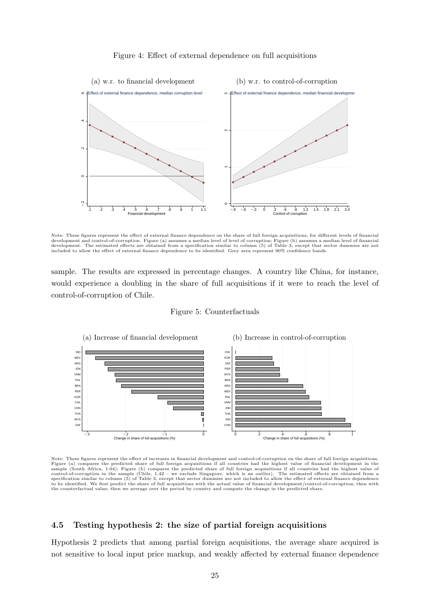<span id="page-27-0"></span>

#### Figure 4: Effect of external dependence on full acquisitions

Note: These figures represent the effect of external finance dependence on the share of full foreign acquisitions, for different levels of financial development and control-of-corruption. Figure (a) assumes a median level of level of corruption; Figure (b) assumes a median level of financial<br>development. The estimated effects are obtained from a specification similar included to allow the effect of external finance dependence to be identified. Grey area represent 90% confidence bands.

sample. The results are expressed in percentage changes. A country like China, for instance, would experience a doubling in the share of full acquisitions if it were to reach the level of control-of-corruption of Chile.

Figure 5: Counterfactuals

<span id="page-27-1"></span>

Note: These figures represent the effect of increases in financial development and control-of-corruption on the share of full foreign acquisitions. Figure (a) compares the predicted share of full foreign acquisitions if all countries had the highest value of financial development in the sample (South Africa, 1.04); Figure (b) compares the predicted share of full fore to be identified. We first predict the share of full acquisitions with the actual value of financial development/control-of-corruption; then with the counterfactual value; then we average over the period by country and compute the change in the predicted share.

### <span id="page-27-2"></span>4.5 Testing hypothesis 2: the size of partial foreign acquisitions

Hypothesis 2 predicts that among partial foreign acquisitions, the average share acquired is not sensitive to local input price markup, and weakly affected by external finance dependence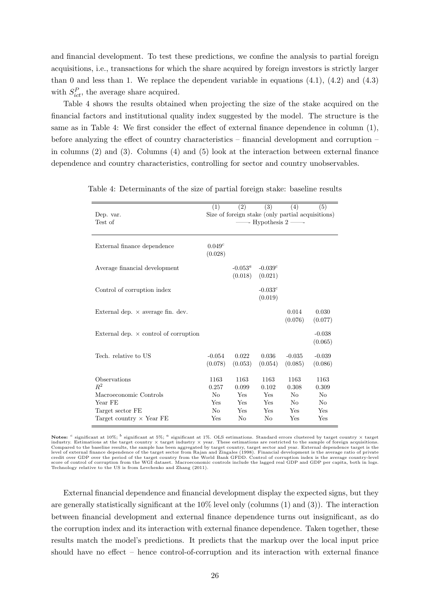and financial development. To test these predictions, we confine the analysis to partial foreign acquisitions, i.e., transactions for which the share acquired by foreign investors is strictly larger than 0 and less than 1. We replace the dependent variable in equations  $(4.1)$ ,  $(4.2)$  and  $(4.3)$ with  $S_{ict}^P$ , the average share acquired.

Table [4](#page-28-0) shows the results obtained when projecting the size of the stake acquired on the financial factors and institutional quality index suggested by the model. The structure is the same as in Table [4:](#page-28-0) We first consider the effect of external finance dependence in column (1), before analyzing the effect of country characteristics – financial development and corruption – in columns (2) and (3). Columns (4) and (5) look at the interaction between external finance dependence and country characteristics, controlling for sector and country unobservables.

| Dep. var.<br>Test of                         | (1)                    | (2)                         | (3)<br>$-$ Hypothesis 2 $-$ | (4)<br>Size of foreign stake (only partial acquisitions) | (5)                 |
|----------------------------------------------|------------------------|-----------------------------|-----------------------------|----------------------------------------------------------|---------------------|
| External finance dependence                  | $0.049^{c}$<br>(0.028) |                             |                             |                                                          |                     |
| Average financial development                |                        | $-0.053^{\circ}$<br>(0.018) | $-0.039^{c}$<br>(0.021)     |                                                          |                     |
| Control of corruption index                  |                        |                             | $-0.033c$<br>(0.019)        |                                                          |                     |
| External dep. $\times$ average fin. dev.     |                        |                             |                             | 0.014<br>(0.076)                                         | 0.030<br>(0.077)    |
| External dep. $\times$ control of corruption |                        |                             |                             |                                                          | $-0.038$<br>(0.065) |
| Tech. relative to US                         | $-0.054$<br>(0.078)    | 0.022<br>(0.053)            | 0.036<br>(0.054)            | $-0.035$<br>(0.085)                                      | $-0.039$<br>(0.086) |
| Observations<br>$\mathbb{R}^2$               | 1163<br>0.257          | 1163<br>0.099               | 1163<br>0.102               | 1163<br>0.308                                            | 1163<br>0.309       |
| Macroeconomic Controls                       | No                     | Yes                         | <b>Yes</b>                  | N <sub>0</sub>                                           | N <sub>0</sub>      |
| Year FE                                      | Yes                    | Yes                         | Yes                         | N <sub>0</sub>                                           | N <sub>0</sub>      |
| Target sector FE                             | N <sub>0</sub>         | Yes                         | Yes                         | Yes                                                      | Yes                 |
| Target country $\times$ Year FE              | Yes                    | No                          | No                          | Yes                                                      | Yes                 |

<span id="page-28-0"></span>Table 4: Determinants of the size of partial foreign stake: baseline results

External financial dependence and financial development display the expected signs, but they are generally statistically significant at the 10% level only (columns (1) and (3)). The interaction between financial development and external finance dependence turns out insignificant, as do the corruption index and its interaction with external finance dependence. Taken together, these results match the model's predictions. It predicts that the markup over the local input price should have no effect – hence control-of-corruption and its interaction with external finance

Notes: <sup>c</sup> significant at 10%; <sup>b</sup> significant at 5%; <sup>a</sup> significant at 1%. OLS estimations. Standard errors clustered by target country  $\times$  target industry. Estimations at the target country × target industry × year. These estimations are restricted to the sample of foreign acquisitions.<br>Compared to the baseline results, the sample has been aggregated by target count credit over GDP over the period of the target country from the World Bank GFDD. Control of corruption index is the average country-level<br>score of control of corruption from the WGI dataset. Macroeconomic controls include t Technology relative to the US is from [Levchenko and Zhang](#page-40-10) [\(2011\)](#page-40-10).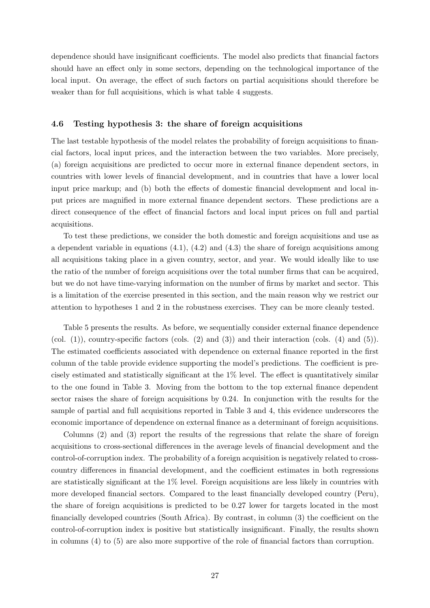dependence should have insignificant coefficients. The model also predicts that financial factors should have an effect only in some sectors, depending on the technological importance of the local input. On average, the effect of such factors on partial acquisitions should therefore be weaker than for full acquisitions, which is what table [4](#page-28-0) suggests.

### <span id="page-29-0"></span>4.6 Testing hypothesis 3: the share of foreign acquisitions

The last testable hypothesis of the model relates the probability of foreign acquisitions to financial factors, local input prices, and the interaction between the two variables. More precisely, (a) foreign acquisitions are predicted to occur more in external finance dependent sectors, in countries with lower levels of financial development, and in countries that have a lower local input price markup; and (b) both the effects of domestic financial development and local input prices are magnified in more external finance dependent sectors. These predictions are a direct consequence of the effect of financial factors and local input prices on full and partial acquisitions.

To test these predictions, we consider the both domestic and foreign acquisitions and use as a dependent variable in equations [\(4.1\)](#page-23-3), [\(4.2\)](#page-24-0) and [\(4.3\)](#page-26-0) the share of foreign acquisitions among all acquisitions taking place in a given country, sector, and year. We would ideally like to use the ratio of the number of foreign acquisitions over the total number firms that can be acquired, but we do not have time-varying information on the number of firms by market and sector. This is a limitation of the exercise presented in this section, and the main reason why we restrict our attention to hypotheses 1 and 2 in the robustness exercises. They can be more cleanly tested.

Table [5](#page-30-1) presents the results. As before, we sequentially consider external finance dependence (col.  $(1)$ ), country-specific factors (cols.  $(2)$  and  $(3)$ ) and their interaction (cols.  $(4)$  and  $(5)$ ). The estimated coefficients associated with dependence on external finance reported in the first column of the table provide evidence supporting the model's predictions. The coefficient is precisely estimated and statistically significant at the 1% level. The effect is quantitatively similar to the one found in Table [3.](#page-25-0) Moving from the bottom to the top external finance dependent sector raises the share of foreign acquisitions by 0.24. In conjunction with the results for the sample of partial and full acquisitions reported in Table [3](#page-25-0) and [4,](#page-28-0) this evidence underscores the economic importance of dependence on external finance as a determinant of foreign acquisitions.

Columns (2) and (3) report the results of the regressions that relate the share of foreign acquisitions to cross-sectional differences in the average levels of financial development and the control-of-corruption index. The probability of a foreign acquisition is negatively related to crosscountry differences in financial development, and the coefficient estimates in both regressions are statistically significant at the 1% level. Foreign acquisitions are less likely in countries with more developed financial sectors. Compared to the least financially developed country (Peru), the share of foreign acquisitions is predicted to be 0.27 lower for targets located in the most financially developed countries (South Africa). By contrast, in column (3) the coefficient on the control-of-corruption index is positive but statistically insignificant. Finally, the results shown in columns (4) to (5) are also more supportive of the role of financial factors than corruption.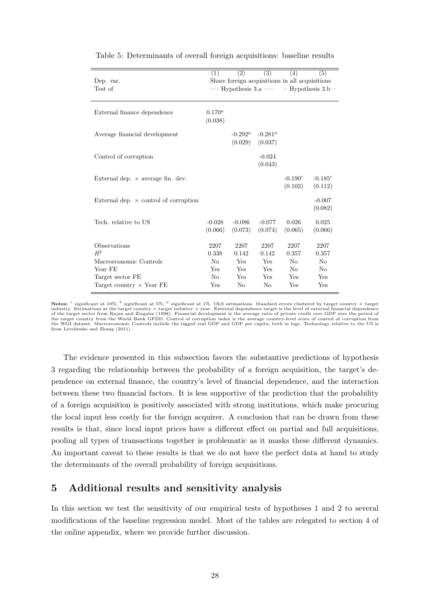| Dep. var.<br>Test of                                  | (1)                    | $\left( 2\right)$     | (3)                   | (4)<br>Share foreign acquisitions in all acquisitions | (5)<br>— Hypothesis 3.a — - Hypothesis 3.b - |
|-------------------------------------------------------|------------------------|-----------------------|-----------------------|-------------------------------------------------------|----------------------------------------------|
| External finance dependence                           | $0.170^{a}$<br>(0.038) |                       |                       |                                                       |                                              |
| Average financial development                         |                        | $-0.292^a$<br>(0.029) | $-0.281^a$<br>(0.037) |                                                       |                                              |
| Control of corruption                                 |                        |                       | $-0.024$<br>(0.043)   |                                                       |                                              |
| External dep. $\times$ average fin. dev.              |                        |                       |                       | $-0.190^c$<br>(0.102)                                 | $-0.185^{c}$<br>(0.112)                      |
| External dep. $\times$ control of corruption          |                        |                       |                       |                                                       | $-0.007$<br>(0.082)                          |
| Tech. relative to US                                  | $-0.028$<br>(0.066)    | $-0.086$<br>(0.073)   | $-0.077$<br>(0.074)   | 0.026<br>(0.065)                                      | 0.025<br>(0.066)                             |
| Observations<br>$R^2$                                 | 2207<br>0.338          | 2207<br>0.142         | 2207<br>0.142         | 2207<br>0.357                                         | 2207<br>0.357                                |
| Macroeconomic Controls<br>Year FE<br>Target sector FE | No<br>Yes<br>No        | Yes<br>Yes<br>Yes     | Yes<br>Yes<br>Yes     | N <sub>o</sub><br>No<br>Yes                           | No<br>No<br>Yes                              |
| Target country $\times$ Year FE                       | Yes                    | No                    | No                    | Yes                                                   | Yes                                          |

<span id="page-30-1"></span>Table 5: Determinants of overall foreign acquisitions: baseline results

The evidence presented in this subsection favors the substantive predictions of hypothesis 3 regarding the relationship between the probability of a foreign acquisition, the target's dependence on external finance, the country's level of financial dependence, and the interaction between these two financial factors. It is less supportive of the prediction that the probability of a foreign acquisition is positively associated with strong institutions, which make procuring the local input less costly for the foreign acquirer. A conclusion that can be drawn from these results is that, since local input prices have a different effect on partial and full acquisitions, pooling all types of transactions together is problematic as it masks these different dynamics. An important caveat to these results is that we do not have the perfect data at hand to study the determinants of the overall probability of foreign acquisitions.

### <span id="page-30-0"></span>5 Additional results and sensitivity analysis

In this section we test the sensitivity of our empirical tests of hypotheses 1 and 2 to several modifications of the baseline regression model. Most of the tables are relegated to section [4](#page-21-0) of the online appendix, where we provide further discussion.

Notes:  $c$  significant at 10%;  $b$  significant at 5%;  $a$  significant at 1%. OLS estimations. Standard errors clustered by target country  $\times$  target industry. Estimations at the target country × target industry × year. External dependence target is the level of external financial dependence<br>of the target sector from [Rajan and Zingales](#page-40-2) [\(1998\)](#page-40-2). Financial development is t the target country from the World Bank GFDD. Control of corruption index is the average country-level score of control of corruption from<br>the WGI dataset. Macroeconomic Controls include the lagged real GDP and GDP per capi Macroeconomic Controls include the lagged real GDP and GDP per capita, both in logs. Technology relative to the US is from [Levchenko and Zhang](#page-40-10) [\(2011\)](#page-40-10).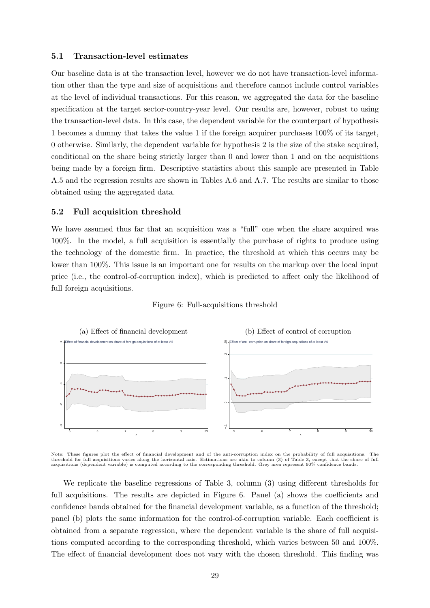### 5.1 Transaction-level estimates

Our baseline data is at the transaction level, however we do not have transaction-level information other than the type and size of acquisitions and therefore cannot include control variables at the level of individual transactions. For this reason, we aggregated the data for the baseline specification at the target sector-country-year level. Our results are, however, robust to using the transaction-level data. In this case, the dependent variable for the counterpart of hypothesis 1 becomes a dummy that takes the value 1 if the foreign acquirer purchases 100% of its target, 0 otherwise. Similarly, the dependent variable for hypothesis 2 is the size of the stake acquired, conditional on the share being strictly larger than 0 and lower than 1 and on the acquisitions being made by a foreign firm. Descriptive statistics about this sample are presented in Table A.5 and the regression results are shown in Tables A.6 and A.7. The results are similar to those obtained using the aggregated data.

### 5.2 Full acquisition threshold

We have assumed thus far that an acquisition was a "full" one when the share acquired was 100%. In the model, a full acquisition is essentially the purchase of rights to produce using the technology of the domestic firm. In practice, the threshold at which this occurs may be lower than 100%. This issue is an important one for results on the markup over the local input price (i.e., the control-of-corruption index), which is predicted to affect only the likelihood of full foreign acquisitions.

### Figure 6: Full-acquisitions threshold

<span id="page-31-0"></span>

Note: These figures plot the effect of financial development and of the anti-corruption index on the probability of full acquisitions. The threshold for full acquisitions varies along the horizontal axis. Estimations are akin to column (3) of Table [3,](#page-25-0) except that the share of full<br>acquisitions (dependent variable) is computed according to the corresponding th

We replicate the baseline regressions of Table [3,](#page-25-0) column (3) using different thresholds for full acquisitions. The results are depicted in Figure [6.](#page-31-0) Panel (a) shows the coefficients and confidence bands obtained for the financial development variable, as a function of the threshold; panel (b) plots the same information for the control-of-corruption variable. Each coefficient is obtained from a separate regression, where the dependent variable is the share of full acquisitions computed according to the corresponding threshold, which varies between 50 and 100%. The effect of financial development does not vary with the chosen threshold. This finding was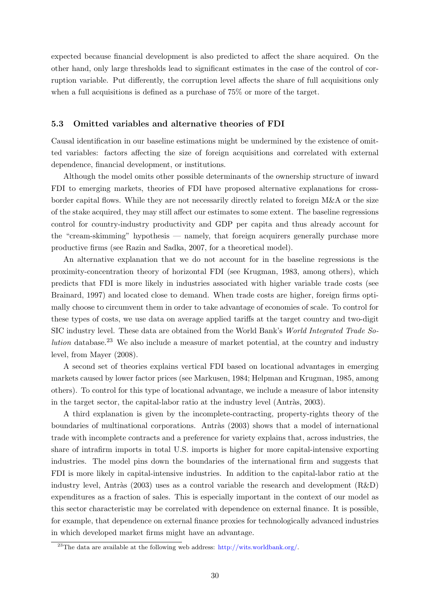expected because financial development is also predicted to affect the share acquired. On the other hand, only large thresholds lead to significant estimates in the case of the control of corruption variable. Put differently, the corruption level affects the share of full acquisitions only when a full acquisitions is defined as a purchase of 75% or more of the target.

### 5.3 Omitted variables and alternative theories of FDI

Causal identification in our baseline estimations might be undermined by the existence of omitted variables: factors affecting the size of foreign acquisitions and correlated with external dependence, financial development, or institutions.

Although the model omits other possible determinants of the ownership structure of inward FDI to emerging markets, theories of FDI have proposed alternative explanations for crossborder capital flows. While they are not necessarily directly related to foreign M&A or the size of the stake acquired, they may still affect our estimates to some extent. The baseline regressions control for country-industry productivity and GDP per capita and thus already account for the "cream-skimming" hypothesis — namely, that foreign acquirers generally purchase more productive firms (see [Razin and Sadka, 2007,](#page-40-11) for a theoretical model).

An alternative explanation that we do not account for in the baseline regressions is the proximity-concentration theory of horizontal FDI (see [Krugman, 1983,](#page-40-12) among others), which predicts that FDI is more likely in industries associated with higher variable trade costs (see [Brainard, 1997\)](#page-38-12) and located close to demand. When trade costs are higher, foreign firms optimally choose to circumvent them in order to take advantage of economies of scale. To control for these types of costs, we use data on average applied tariffs at the target country and two-digit SIC industry level. These data are obtained from the World Bank's World Integrated Trade So*lution* database.<sup>[23](#page-32-0)</sup> We also include a measure of market potential, at the country and industry level, from [Mayer \(2008\)](#page-40-13).

A second set of theories explains vertical FDI based on locational advantages in emerging markets caused by lower factor prices (see [Markusen, 1984;](#page-40-14) [Helpman and Krugman, 1985,](#page-39-13) among others). To control for this type of locational advantage, we include a measure of labor intensity in the target sector, the capital-labor ratio at the industry level (Antràs,  $2003$ ).

A third explanation is given by the incomplete-contracting, property-rights theory of the boundaries of multinational corporations. Antràs (2003) shows that a model of international trade with incomplete contracts and a preference for variety explains that, across industries, the share of intrafirm imports in total U.S. imports is higher for more capital-intensive exporting industries. The model pins down the boundaries of the international firm and suggests that FDI is more likely in capital-intensive industries. In addition to the capital-labor ratio at the industry level, Antràs (2003) uses as a control variable the research and development  $(R&D)$ expenditures as a fraction of sales. This is especially important in the context of our model as this sector characteristic may be correlated with dependence on external finance. It is possible, for example, that dependence on external finance proxies for technologically advanced industries in which developed market firms might have an advantage.

<span id="page-32-0"></span><sup>&</sup>lt;sup>23</sup>The data are available at the following web address:  $\frac{http://wits.worldbank.org/}{http://wits.worldbank.org/}.$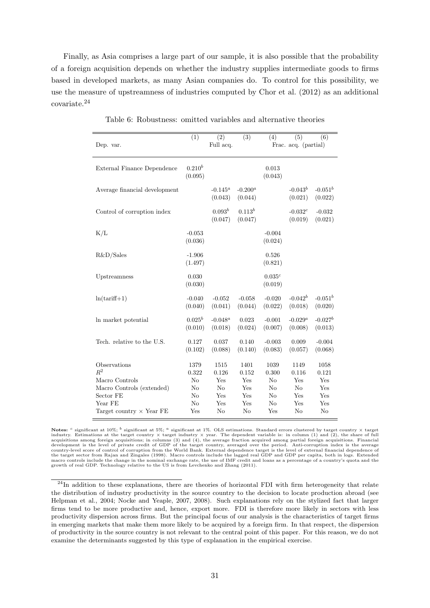Finally, as Asia comprises a large part of our sample, it is also possible that the probability of a foreign acquisition depends on whether the industry supplies intermediate goods to firms based in developed markets, as many Asian companies do. To control for this possibility, we use the measure of upstreamness of industries computed by [Chor et al. \(2012\)](#page-38-13) as an additional covariate.[24](#page-33-0)

<span id="page-33-1"></span>

|                                             | (1)                    | $\overline{(2)}$      | $\overline{(3)}$       | (4)                    | (5)                     | (6)                   |  |
|---------------------------------------------|------------------------|-----------------------|------------------------|------------------------|-------------------------|-----------------------|--|
| Dep. var.                                   | Full acq.              |                       |                        | Frac. acq. (partial)   |                         |                       |  |
| External Finance Dependence                 | $0.210^{b}$<br>(0.095) |                       |                        | 0.013<br>(0.043)       |                         |                       |  |
| Average financial development               |                        | $-0.145^a$<br>(0.043) | $-0.200^a$<br>(0.044)  |                        | $-0.043^b$<br>(0.021)   | $-0.051^b$<br>(0.022) |  |
| Control of corruption index                 |                        | $0.093^b$<br>(0.047)  | $0.113^{b}$<br>(0.047) |                        | $-0.032^{c}$<br>(0.019) | $-0.032$<br>(0.021)   |  |
| K/L                                         | $-0.053$<br>(0.036)    |                       |                        | $-0.004$<br>(0.024)    |                         |                       |  |
| R&D/Sales                                   | $-1.906$<br>(1.497)    |                       |                        | 0.526<br>(0.821)       |                         |                       |  |
| Upstreamness                                | 0.030<br>(0.030)       |                       |                        | $0.035^{c}$<br>(0.019) |                         |                       |  |
| $ln(tariff+1)$                              | $-0.040$<br>(0.040)    | $-0.052$<br>(0.041)   | $-0.058$<br>(0.044)    | $-0.020$<br>(0.022)    | $-0.042^b$<br>(0.018)   | $-0.051^b$<br>(0.020) |  |
| In market potential                         | $0.025^b$<br>(0.010)   | $-0.048^a$<br>(0.018) | 0.023<br>(0.024)       | $-0.001$<br>(0.007)    | $-0.029^a$<br>(0.008)   | $-0.027^b$<br>(0.013) |  |
| Tech. relative to the U.S.                  | 0.127<br>(0.102)       | 0.037<br>(0.088)      | 0.140<br>(0.140)       | $-0.003$<br>(0.083)    | 0.009<br>(0.057)        | $-0.004$<br>(0.068)   |  |
| Observations<br>$R^2$                       | 1379<br>0.322          | 1515<br>0.126         | 1401<br>0.152          | 1039<br>0.300          | 1149<br>0.116           | 1058<br>0.121         |  |
| Macro Controls<br>Macro Controls (extended) | N <sub>o</sub><br>No   | Yes<br>No             | Yes<br>Yes             | N <sub>o</sub><br>No   | Yes<br>N <sub>o</sub>   | Yes<br>Yes            |  |
| Sector FE                                   | N <sub>o</sub>         | Yes                   | Yes                    | No                     | Yes                     | Yes                   |  |
| Year FE                                     | N <sub>o</sub>         | Yes                   | Yes                    | No                     | Yes                     | Yes                   |  |
| Target country $\times$ Year FE             | Yes                    | No                    | No                     | Yes                    | No                      | No                    |  |

Table 6: Robustness: omitted variables and alternative theories

Notes: <sup>c</sup> significant at 10%; <sup>b</sup> significant at 5%; <sup>a</sup> significant at 1%. OLS estimations. Standard errors clustered by target country  $\times$  target industry. Estimations at the target country  $\times$  target industry  $\times$  year. The dependent variable is: in column (1) and (2), the share of full acquisitions among foreign acquisitions; in column (3) and (4), the average f the target sector from [Rajan and Zingales](#page-40-2) [\(1998\)](#page-40-2). Macro controls include the lagged real GDP and GDP per capita, both in logs. Extended<br>macro controls include the change in the nominal exchange rate, the use of IMF credit growth of real GDP. Technology relative to the US is from [Levchenko and Zhang](#page-40-10) [\(2011\)](#page-40-10).

<span id="page-33-0"></span><sup>&</sup>lt;sup>24</sup>In addition to these explanations, there are theories of horizontal FDI with firm heterogeneity that relate the distribution of industry productivity in the source country to the decision to locate production abroad (see [Helpman et al., 2004;](#page-39-14) [Nocke and Yeaple, 2007,](#page-40-6) [2008\)](#page-40-7). Such explanations rely on the stylized fact that larger firms tend to be more productive and, hence, export more. FDI is therefore more likely in sectors with less productivity dispersion across firms. But the principal focus of our analysis is the characteristics of target firms in emerging markets that make them more likely to be acquired by a foreign firm. In that respect, the dispersion of productivity in the source country is not relevant to the central point of this paper. For this reason, we do not examine the determinants suggested by this type of explanation in the empirical exercise.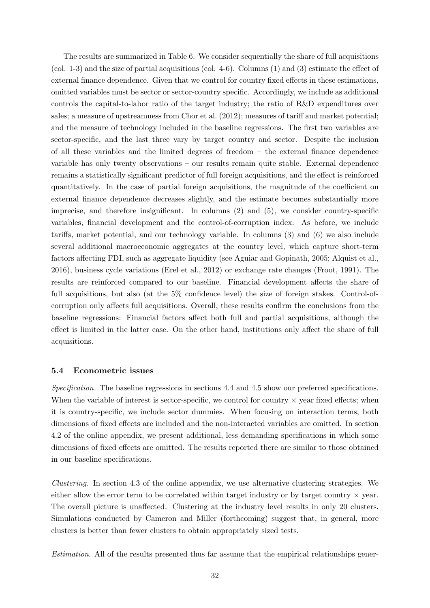The results are summarized in Table [6.](#page-33-1) We consider sequentially the share of full acquisitions (col. 1-3) and the size of partial acquisitions (col. 4-6). Columns (1) and (3) estimate the effect of external finance dependence. Given that we control for country fixed effects in these estimations, omitted variables must be sector or sector-country specific. Accordingly, we include as additional controls the capital-to-labor ratio of the target industry; the ratio of R&D expenditures over sales; a measure of upstreamness from [Chor et al. \(2012\)](#page-38-13); measures of tariff and market potential; and the measure of technology included in the baseline regressions. The first two variables are sector-specific, and the last three vary by target country and sector. Despite the inclusion of all these variables and the limited degrees of freedom – the external finance dependence variable has only twenty observations – our results remain quite stable. External dependence remains a statistically significant predictor of full foreign acquisitions, and the effect is reinforced quantitatively. In the case of partial foreign acquisitions, the magnitude of the coefficient on external finance dependence decreases slightly, and the estimate becomes substantially more imprecise, and therefore insignificant. In columns (2) and (5), we consider country-specific variables, financial development and the control-of-corruption index. As before, we include tariffs, market potential, and our technology variable. In columns (3) and (6) we also include several additional macroeconomic aggregates at the country level, which capture short-term factors affecting FDI, such as aggregate liquidity (see [Aguiar and Gopinath, 2005;](#page-37-0) [Alquist et al.,](#page-37-2) [2016\)](#page-37-2), business cycle variations [\(Erel et al., 2012\)](#page-39-4) or exchange rate changes [\(Froot, 1991\)](#page-39-15). The results are reinforced compared to our baseline. Financial development affects the share of full acquisitions, but also (at the  $5\%$  confidence level) the size of foreign stakes. Control-ofcorruption only affects full acquisitions. Overall, these results confirm the conclusions from the baseline regressions: Financial factors affect both full and partial acquisitions, although the effect is limited in the latter case. On the other hand, institutions only affect the share of full acquisitions.

### 5.4 Econometric issues

Specification. The baseline regressions in sections [4.4](#page-23-0) and [4.5](#page-27-2) show our preferred specifications. When the variable of interest is sector-specific, we control for country  $\times$  year fixed effects; when it is country-specific, we include sector dummies. When focusing on interaction terms, both dimensions of fixed effects are included and the non-interacted variables are omitted. In section [4.2](#page-22-2) of the online appendix, we present additional, less demanding specifications in which some dimensions of fixed effects are omitted. The results reported there are similar to those obtained in our baseline specifications.

Clustering. In section [4.3](#page-22-3) of the online appendix, we use alternative clustering strategies. We either allow the error term to be correlated within target industry or by target country  $\times$  year. The overall picture is unaffected. Clustering at the industry level results in only 20 clusters. Simulations conducted by [Cameron and Miller \(forthcoming\)](#page-38-14) suggest that, in general, more clusters is better than fewer clusters to obtain appropriately sized tests.

Estimation. All of the results presented thus far assume that the empirical relationships gener-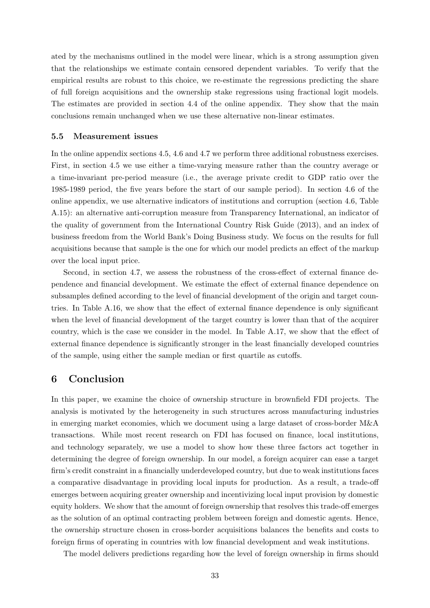ated by the mechanisms outlined in the model were linear, which is a strong assumption given that the relationships we estimate contain censored dependent variables. To verify that the empirical results are robust to this choice, we re-estimate the regressions predicting the share of full foreign acquisitions and the ownership stake regressions using fractional logit models. The estimates are provided in section [4.4](#page-23-0) of the online appendix. They show that the main conclusions remain unchanged when we use these alternative non-linear estimates.

#### 5.5 Measurement issues

In the online appendix sections [4.5,](#page-27-2) [4.6](#page-29-0) and 4.7 we perform three additional robustness exercises. First, in section [4.5](#page-27-2) we use either a time-varying measure rather than the country average or a time-invariant pre-period measure (i.e., the average private credit to GDP ratio over the 1985-1989 period, the five years before the start of our sample period). In section [4.6](#page-29-0) of the online appendix, we use alternative indicators of institutions and corruption (section [4.6,](#page-29-0) Table A.15): an alternative anti-corruption measure from Transparency International, an indicator of the quality of government from the International Country Risk Guide (2013), and an index of business freedom from the World Bank's Doing Business study. We focus on the results for full acquisitions because that sample is the one for which our model predicts an effect of the markup over the local input price.

Second, in section 4.7, we assess the robustness of the cross-effect of external finance dependence and financial development. We estimate the effect of external finance dependence on subsamples defined according to the level of financial development of the origin and target countries. In Table A.16, we show that the effect of external finance dependence is only significant when the level of financial development of the target country is lower than that of the acquirer country, which is the case we consider in the model. In Table A.17, we show that the effect of external finance dependence is significantly stronger in the least financially developed countries of the sample, using either the sample median or first quartile as cutoffs.

# <span id="page-35-0"></span>6 Conclusion

In this paper, we examine the choice of ownership structure in brownfield FDI projects. The analysis is motivated by the heterogeneity in such structures across manufacturing industries in emerging market economies, which we document using a large dataset of cross-border M&A transactions. While most recent research on FDI has focused on finance, local institutions, and technology separately, we use a model to show how these three factors act together in determining the degree of foreign ownership. In our model, a foreign acquirer can ease a target firm's credit constraint in a financially underdeveloped country, but due to weak institutions faces a comparative disadvantage in providing local inputs for production. As a result, a trade-off emerges between acquiring greater ownership and incentivizing local input provision by domestic equity holders. We show that the amount of foreign ownership that resolves this trade-off emerges as the solution of an optimal contracting problem between foreign and domestic agents. Hence, the ownership structure chosen in cross-border acquisitions balances the benefits and costs to foreign firms of operating in countries with low financial development and weak institutions.

The model delivers predictions regarding how the level of foreign ownership in firms should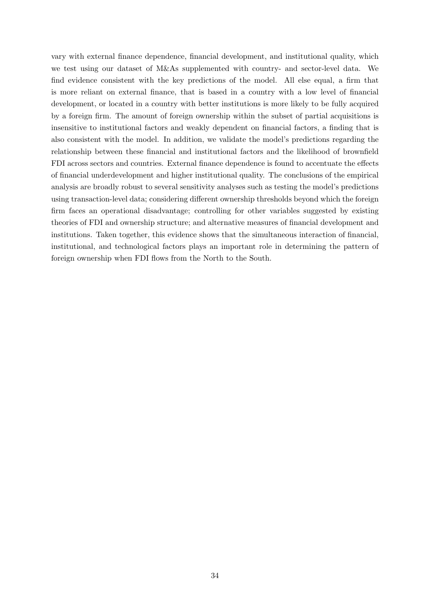vary with external finance dependence, financial development, and institutional quality, which we test using our dataset of M&As supplemented with country- and sector-level data. We find evidence consistent with the key predictions of the model. All else equal, a firm that is more reliant on external finance, that is based in a country with a low level of financial development, or located in a country with better institutions is more likely to be fully acquired by a foreign firm. The amount of foreign ownership within the subset of partial acquisitions is insensitive to institutional factors and weakly dependent on financial factors, a finding that is also consistent with the model. In addition, we validate the model's predictions regarding the relationship between these financial and institutional factors and the likelihood of brownfield FDI across sectors and countries. External finance dependence is found to accentuate the effects of financial underdevelopment and higher institutional quality. The conclusions of the empirical analysis are broadly robust to several sensitivity analyses such as testing the model's predictions using transaction-level data; considering different ownership thresholds beyond which the foreign firm faces an operational disadvantage; controlling for other variables suggested by existing theories of FDI and ownership structure; and alternative measures of financial development and institutions. Taken together, this evidence shows that the simultaneous interaction of financial, institutional, and technological factors plays an important role in determining the pattern of foreign ownership when FDI flows from the North to the South.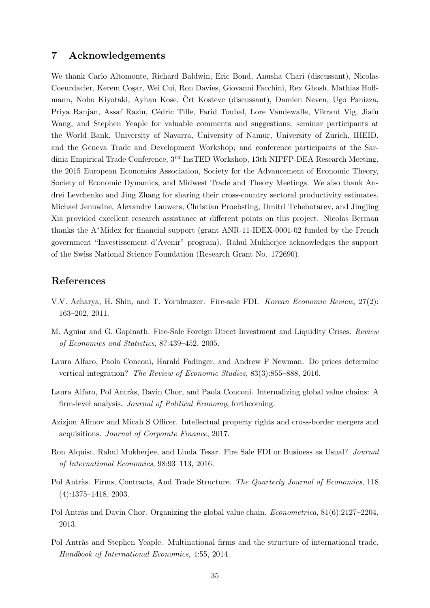### 7 Acknowledgements

We thank Carlo Altomonte, Richard Baldwin, Eric Bond, Anusha Chari (discussant), Nicolas Coeurdacier, Kerem Coșar, Wei Cui, Ron Davies, Giovanni Facchini, Rex Ghosh, Mathias Hoffmann, Nobu Kiyotaki, Ayhan Kose, Črt Kostevc (discussant), Damien Neven, Ugo Panizza, Priya Ranjan, Assaf Razin, Cédric Tille, Farid Toubal, Lore Vandewalle, Vikrant Vig, Jiafu Wang, and Stephen Yeaple for valuable comments and suggestions; seminar participants at the World Bank, University of Navarra, University of Namur, University of Zurich, IHEID, and the Geneva Trade and Development Workshop; and conference participants at the Sardinia Empirical Trade Conference,  $3^{rd}$  InsTED Workshop, 13th NIPFP-DEA Research Meeting, the 2015 European Economics Association, Society for the Advancement of Economic Theory, Society of Economic Dynamics, and Midwest Trade and Theory Meetings. We also thank Andrei Levchenko and Jing Zhang for sharing their cross-country sectoral productivity estimates. Michael Jenuwine, Alexandre Lauwers, Christian Proebsting, Dmitri Tchebotarev, and Jingjing Xia provided excellent research assistance at different points on this project. Nicolas Berman thanks the A∗Midex for financial support (grant ANR-11-IDEX-0001-02 funded by the French government "Investissement d'Avenir" program). Rahul Mukherjee acknowledges the support of the Swiss National Science Foundation (Research Grant No. 172690).

# References

- <span id="page-37-1"></span>V.V. Acharya, H. Shin, and T. Yorulmazer. Fire-sale FDI. Korean Economic Review, 27(2): 163–202, 2011.
- <span id="page-37-0"></span>M. Aguiar and G. Gopinath. Fire-Sale Foreign Direct Investment and Liquidity Crises. Review of Economics and Statistics, 87:439–452, 2005.
- <span id="page-37-6"></span>Laura Alfaro, Paola Conconi, Harald Fadinger, and Andrew F Newman. Do prices determine vertical integration? The Review of Economic Studies, 83(3):855–888, 2016.
- <span id="page-37-7"></span>Laura Alfaro, Pol Antràs, Davin Chor, and Paola Conconi. Internalizing global value chains: A firm-level analysis. Journal of Political Economy, forthcoming.
- <span id="page-37-3"></span>Azizjon Alimov and Micah S Officer. Intellectual property rights and cross-border mergers and acquisitions. Journal of Corporate Finance, 2017.
- <span id="page-37-2"></span>Ron Alquist, Rahul Mukherjee, and Linda Tesar. Fire Sale FDI or Business as Usual? Journal of International Economics, 98:93–113, 2016.
- <span id="page-37-8"></span>Pol Antràs. Firms, Contracts, And Trade Structure. The Quarterly Journal of Economics, 118 (4):1375–1418, 2003.
- <span id="page-37-5"></span>Pol Antràs and Davin Chor. Organizing the global value chain. *Econometrica*,  $81(6):2127-2204$ , 2013.
- <span id="page-37-4"></span>Pol Antràs and Stephen Yeaple. Multinational firms and the structure of international trade. Handbook of International Economics, 4:55, 2014.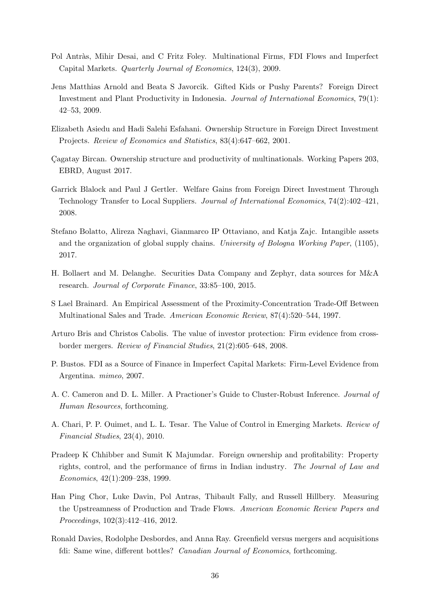- <span id="page-38-5"></span>Pol Antràs, Mihir Desai, and C Fritz Foley. Multinational Firms, FDI Flows and Imperfect Capital Markets. Quarterly Journal of Economics, 124(3), 2009.
- <span id="page-38-10"></span>Jens Matthias Arnold and Beata S Javorcik. Gifted Kids or Pushy Parents? Foreign Direct Investment and Plant Productivity in Indonesia. Journal of International Economics, 79(1): 42–53, 2009.
- <span id="page-38-3"></span>Elizabeth Asiedu and Hadi Salehi Esfahani. Ownership Structure in Foreign Direct Investment Projects. Review of Economics and Statistics, 83(4):647–662, 2001.
- <span id="page-38-6"></span>Cagatay Bircan. Ownership structure and productivity of multinationals. Working Papers 203, EBRD, August 2017.
- <span id="page-38-9"></span>Garrick Blalock and Paul J Gertler. Welfare Gains from Foreign Direct Investment Through Technology Transfer to Local Suppliers. Journal of International Economics, 74(2):402–421, 2008.
- <span id="page-38-4"></span>Stefano Bolatto, Alireza Naghavi, Gianmarco IP Ottaviano, and Katja Zajc. Intangible assets and the organization of global supply chains. University of Bologna Working Paper, (1105), 2017.
- <span id="page-38-8"></span>H. Bollaert and M. Delanghe. Securities Data Company and Zephyr, data sources for M&A research. Journal of Corporate Finance, 33:85–100, 2015.
- <span id="page-38-12"></span>S Lael Brainard. An Empirical Assessment of the Proximity-Concentration Trade-Off Between Multinational Sales and Trade. American Economic Review, 87(4):520–544, 1997.
- <span id="page-38-11"></span>Arturo Bris and Christos Cabolis. The value of investor protection: Firm evidence from crossborder mergers. Review of Financial Studies, 21(2):605–648, 2008.
- <span id="page-38-2"></span>P. Bustos. FDI as a Source of Finance in Imperfect Capital Markets: Firm-Level Evidence from Argentina. mimeo, 2007.
- <span id="page-38-14"></span>A. C. Cameron and D. L. Miller. A Practioner's Guide to Cluster-Robust Inference. Journal of Human Resources, forthcoming.
- <span id="page-38-0"></span>A. Chari, P. P. Ouimet, and L. L. Tesar. The Value of Control in Emerging Markets. Review of Financial Studies, 23(4), 2010.
- <span id="page-38-7"></span>Pradeep K Chhibber and Sumit K Majumdar. Foreign ownership and profitability: Property rights, control, and the performance of firms in Indian industry. The Journal of Law and Economics, 42(1):209–238, 1999.
- <span id="page-38-13"></span>Han Ping Chor, Luke Davin, Pol Antras, Thibault Fally, and Russell Hillbery. Measuring the Upstreamness of Production and Trade Flows. American Economic Review Papers and Proceedings, 102(3):412–416, 2012.
- <span id="page-38-1"></span>Ronald Davies, Rodolphe Desbordes, and Anna Ray. Greenfield versus mergers and acquisitions fdi: Same wine, different bottles? Canadian Journal of Economics, forthcoming.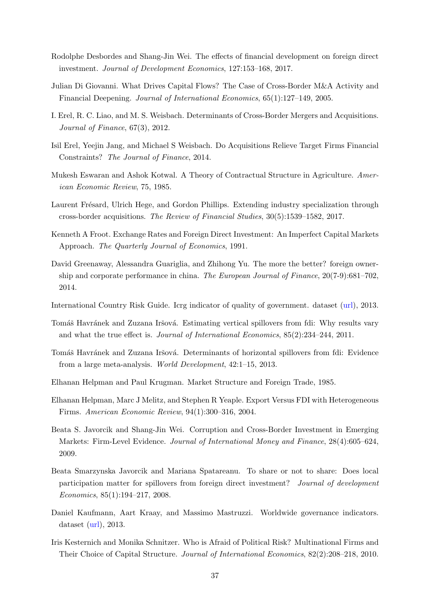- <span id="page-39-1"></span>Rodolphe Desbordes and Shang-Jin Wei. The effects of financial development on foreign direct investment. Journal of Development Economics, 127:153–168, 2017.
- <span id="page-39-0"></span>Julian Di Giovanni. What Drives Capital Flows? The Case of Cross-Border M&A Activity and Financial Deepening. Journal of International Economics, 65(1):127–149, 2005.
- <span id="page-39-4"></span>I. Erel, R. C. Liao, and M. S. Weisbach. Determinants of Cross-Border Mergers and Acquisitions. Journal of Finance, 67(3), 2012.
- <span id="page-39-2"></span>Isil Erel, Yeejin Jang, and Michael S Weisbach. Do Acquisitions Relieve Target Firms Financial Constraints? The Journal of Finance, 2014.
- <span id="page-39-7"></span>Mukesh Eswaran and Ashok Kotwal. A Theory of Contractual Structure in Agriculture. American Economic Review, 75, 1985.
- <span id="page-39-5"></span>Laurent Frésard, Ulrich Hege, and Gordon Phillips. Extending industry specialization through cross-border acquisitions. The Review of Financial Studies, 30(5):1539–1582, 2017.
- <span id="page-39-15"></span>Kenneth A Froot. Exchange Rates and Foreign Direct Investment: An Imperfect Capital Markets Approach. The Quarterly Journal of Economics, 1991.
- <span id="page-39-8"></span>David Greenaway, Alessandra Guariglia, and Zhihong Yu. The more the better? foreign ownership and corporate performance in china. The European Journal of Finance, 20(7-9):681–702, 2014.
- International Country Risk Guide. Icrg indicator of quality of government. dataset [\(url\)](http://www.prsgroup.com/ICRG.aspx), 2013.
- <span id="page-39-10"></span>Tomáš Havránek and Zuzana Iršová. Estimating vertical spillovers from fdi: Why results vary and what the true effect is. Journal of International Economics, 85(2):234–244, 2011.
- <span id="page-39-11"></span>Tomáš Havránek and Zuzana Iršová. Determinants of horizontal spillovers from fdi: Evidence from a large meta-analysis. World Development, 42:1–15, 2013.
- <span id="page-39-13"></span>Elhanan Helpman and Paul Krugman. Market Structure and Foreign Trade, 1985.
- <span id="page-39-14"></span>Elhanan Helpman, Marc J Melitz, and Stephen R Yeaple. Export Versus FDI with Heterogeneous Firms. American Economic Review, 94(1):300–316, 2004.
- <span id="page-39-3"></span>Beata S. Javorcik and Shang-Jin Wei. Corruption and Cross-Border Investment in Emerging Markets: Firm-Level Evidence. Journal of International Money and Finance, 28(4):605–624, 2009.
- <span id="page-39-9"></span>Beata Smarzynska Javorcik and Mariana Spatareanu. To share or not to share: Does local participation matter for spillovers from foreign direct investment? Journal of development Economics, 85(1):194–217, 2008.
- <span id="page-39-12"></span>Daniel Kaufmann, Aart Kraay, and Massimo Mastruzzi. Worldwide governance indicators. dataset [\(url\)](www.govindicators.org), 2013.
- <span id="page-39-6"></span>Iris Kesternich and Monika Schnitzer. Who is Afraid of Political Risk? Multinational Firms and Their Choice of Capital Structure. Journal of International Economics, 82(2):208–218, 2010.